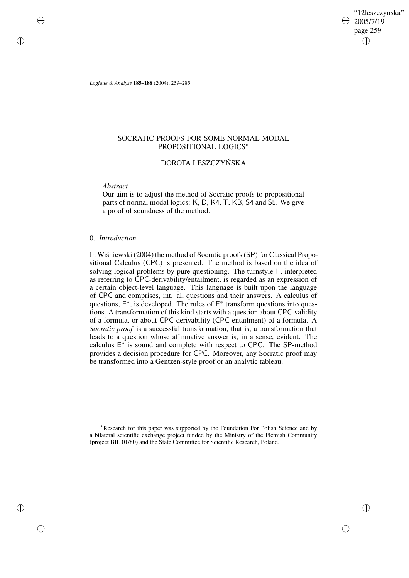"12leszczynska" 2005/7/19 page 259 ✐ ✐

✐

✐

*Logique & Analyse* **185–188** (2004), 259–285

# SOCRATIC PROOFS FOR SOME NORMAL MODAL PROPOSITIONAL LOGICS<sup>∗</sup>

# DOROTA LESZCZYNSKA ´

*Abstract*

✐

✐

✐

✐

Our aim is to adjust the method of Socratic proofs to propositional parts of normal modal logics: K, D, K4, T, KB, S4 and S5. We give a proof of soundness of the method.

## 0. *Introduction*

In Wisniewski (2004) the method of Socratic proofs (SP) for Classical Propositional Calculus (CPC) is presented. The method is based on the idea of solving logical problems by pure questioning. The turnstyle  $\vdash$ , interpreted as referring to CPC-derivability/entailment, is regarded as an expression of a certain object-level language. This language is built upon the language of CPC and comprises, int. al, questions and their answers. A calculus of questions,  $E^*$ , is developed. The rules of  $E^*$  transform questions into questions. A transformation of this kind starts with a question about CPC-validity of a formula, or about CPC-derivability (CPC-entailment) of a formula. A *Socratic proof* is a successful transformation, that is, a transformation that leads to a question whose affirmative answer is, in a sense, evident. The calculus  $E^*$  is sound and complete with respect to CPC. The SP-method provides a decision procedure for CPC. Moreover, any Socratic proof may be transformed into a Gentzen-style proof or an analytic tableau.

<sup>∗</sup>Research for this paper was supported by the Foundation For Polish Science and by a bilateral scientific exchange project funded by the Ministry of the Flemish Community (project BIL 01/80) and the State Committee for Scientific Research, Poland.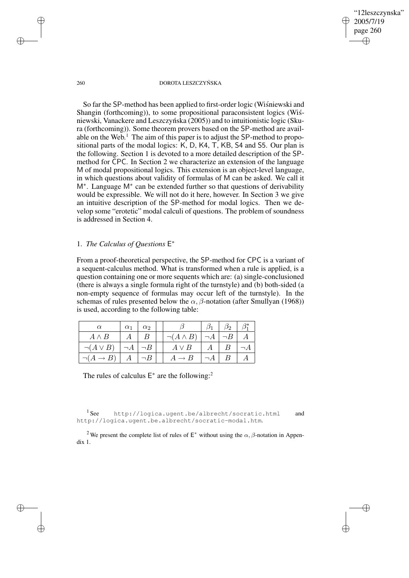260 DOROTA LESZCZYŃSKA

"12leszczynska" 2005/7/19 page 260

✐

✐

✐

✐

So far the SP-method has been applied to first-order logic (Wisniewski and Shangin (forthcoming)), to some propositional paraconsistent logics (Wisniewski, Vanackere and Leszczyńska (2005)) and to intuitionistic logic (Skura (forthcoming)). Some theorem provers based on the SP-method are available on the Web.<sup>1</sup> The aim of this paper is to adjust the SP-method to propositional parts of the modal logics: K, D, K4, T, KB, S4 and S5. Our plan is the following. Section 1 is devoted to a more detailed description of the SPmethod for CPC. In Section 2 we characterize an extension of the language M of modal propositional logics. This extension is an object-level language, in which questions about validity of formulas of M can be asked. We call it M<sup>∗</sup> . Language M<sup>∗</sup> can be extended further so that questions of derivability would be expressible. We will not do it here, however. In Section 3 we give an intuitive description of the SP-method for modal logics. Then we develop some "erotetic" modal calculi of questions. The problem of soundness is addressed in Section 4.

1. *The Calculus of Questions* E ∗

From a proof-theoretical perspective, the SP-method for CPC is a variant of a sequent-calculus method. What is transformed when a rule is applied, is a question containing one or more sequents which are: (a) single-conclusioned (there is always a single formula right of the turnstyle) and (b) both-sided (a non-empty sequence of formulas may occur left of the turnstyle). In the schemas of rules presented below the  $\alpha$ ,  $\beta$ -notation (after Smullyan (1968)) is used, according to the following table:

| $\alpha$          | $\alpha_1$ | $\alpha_2$ |  |                  |   | Ο2 |  |
|-------------------|------------|------------|--|------------------|---|----|--|
| $A \wedge B$      | А          | B          |  | $\neg(A \land B$ |   |    |  |
| $\neg (A \vee B)$ | $\neg A$   | $\neg B$   |  | $A \vee B$       | А |    |  |
|                   | А          |            |  |                  |   |    |  |

The rules of calculus  $E^*$  are the following:<sup>2</sup>

 $1$  See http://logica.ugent.be/albrecht/socratic.html and http://logica.ugent.be.albrecht/socratic-modal.htm.

<sup>2</sup>We present the complete list of rules of  $E^*$  without using the  $\alpha$ ,  $\beta$ -notation in Appendix 1.

✐

✐

✐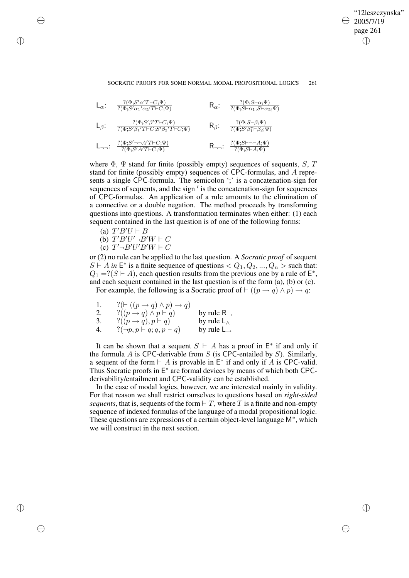✐

### SOCRATIC PROOFS FOR SOME NORMAL MODAL PROPOSITIONAL LOGICS 261

$$
L_{\alpha}: \frac{?(\Phi; S'\alpha'T\vdash C; \Psi)}{?(\Phi; S'\alpha_1'\alpha_2'T\vdash C; \Psi)} \qquad R_{\alpha}: \frac{?(\Phi; S\vdash \alpha;\Psi)}{?(\Phi; S\vdash \alpha_1; S\vdash \alpha_2; \Psi)}
$$
\n
$$
L_{\beta}: \frac{?(\Phi; S'\beta'T\vdash C; \Psi)}{?(\Phi; S'\beta_1'T\vdash C; S'\beta_2'T\vdash C; \Psi)} \qquad R_{\beta}: \frac{?(\Phi; S\vdash \beta;\Psi)}{?(\Phi; S'\beta_1^* \vdash \beta_2; \Psi)}
$$
\n
$$
L_{\neg \neg \vdots} \frac{?(\Phi; S'\neg \neg A'T\vdash C; \Psi)}{?(\Phi; S'\neg A'T\vdash C; \Psi)} \qquad R_{\neg \neg \vdots} \frac{?(\Phi; S\vdash \neg \neg A;\Psi)}{?(\Phi; S\vdash \neg A;\Psi)}
$$

where  $\Phi$ ,  $\Psi$  stand for finite (possibly empty) sequences of sequents, S, T stand for finite (possibly empty) sequences of CPC-formulas, and A represents a single CPC-formula. The semicolon ';' is a concatenation-sign for sequences of sequents, and the sign  $\prime$  is the concatenation-sign for sequences of CPC-formulas. An application of a rule amounts to the elimination of a connective or a double negation. The method proceeds by transforming questions into questions. A transformation terminates when either: (1) each sequent contained in the last question is of one of the following forms:

(a)  $T'B'U \vdash B$ 

✐

✐

✐

✐

- (b)  $T'B'U'\neg B'W \vdash C$
- (c)  $T'\neg B'U'B'W \vdash C$

or (2) no rule can be applied to the last question. A *Socratic proof* of sequent  $S \vdash A$  in  $E^*$  is a finite sequence of questions  $\langle Q_1, Q_2, ..., Q_n \rangle$  such that:  $Q_1 = ?(S \vdash A)$ , each question results from the previous one by a rule of  $E^*$ , and each sequent contained in the last question is of the form (a), (b) or (c). For example, the following is a Socratic proof of  $\vdash ((p \rightarrow q) \land p) \rightarrow q$ :

| -1. | $?(\vdash ((p \rightarrow q) \land p) \rightarrow q))$ |                           |
|-----|--------------------------------------------------------|---------------------------|
| 2.  | $?((p \rightarrow q) \land p \vdash q)$                | by rule $R_{\rightarrow}$ |
| 3.  | $?((p \rightarrow q), p \vdash q)$                     | by rule $L_{\wedge}$      |
| 4.  | $?(\neg p, p \vdash q; q, p \vdash q)$                 | by rule $L_{\rightarrow}$ |

It can be shown that a sequent  $S \vdash A$  has a proof in  $E^*$  if and only if the formula  $A$  is CPC-derivable from  $S$  (is CPC-entailed by  $S$ ). Similarly, a sequent of the form  $\vdash A$  is provable in  $E^*$  if and only if A is CPC-valid. Thus Socratic proofs in E<sup>\*</sup> are formal devices by means of which both CPCderivability/entailment and CPC-validity can be established.

In the case of modal logics, however, we are interested mainly in validity. For that reason we shall restrict ourselves to questions based on *right-sided sequents*, that is, sequents of the form  $\vdash T$ , where T is a finite and non-empty sequence of indexed formulas of the language of a modal propositional logic. These questions are expressions of a certain object-level language M<sup>∗</sup>, which we will construct in the next section.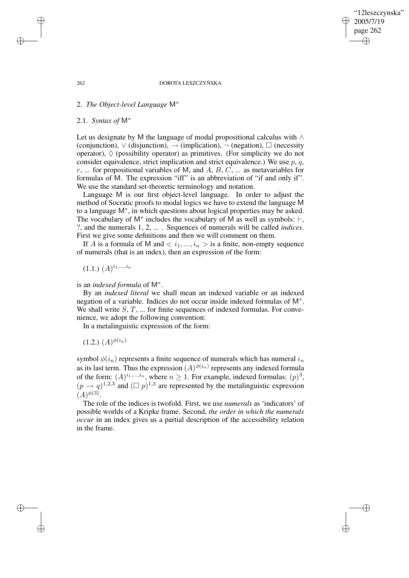"12leszczynska" 2005/7/19 page 262 ✐ ✐

✐

✐

#### 262 DOROTA LESZCZYŃSKA

# 2. *The Object-level Language* M<sup>∗</sup>

# 2.1. *Syntax of* M<sup>∗</sup>

Let us designate by M the language of modal propositional calculus with ∧ (conjunction),  $\vee$  (disjunction),  $\rightarrow$  (implication),  $\neg$  (negation),  $\square$  (necessity operator),  $\Diamond$  (possibility operator) as primitives. (For simplicity we do not consider equivalence, strict implication and strict equivalence.) We use  $p, q$ ,  $r$ , ... for propositional variables of M, and  $A$ ,  $B$ ,  $C$ , ... as metavariables for formulas of M. The expression "iff" is an abbreviation of "if and only if". We use the standard set-theoretic terminology and notation.

Language M is our first object-level language. In order to adjust the method of Socratic proofs to modal logics we have to extend the language M to a language M<sup>∗</sup> , in which questions about logical properties may be asked. The vocabulary of M<sup>\*</sup> includes the vocabulary of M as well as symbols:  $\vdash$ , ?, and the numerals 1, 2, ... . Sequences of numerals will be called *indices*. First we give some definitions and then we will comment on them.

If A is a formula of M and  $\langle i_1,...,i_n\rangle$  is a finite, non-empty sequence of numerals (that is an index), then an expression of the form:

 $(1.1.)$   $(A)^{i_1,...,i_n}$ 

# is an *indexed formula* of M<sup>∗</sup> .

By an *indexed literal* we shall mean an indexed variable or an indexed negation of a variable. Indices do not occur inside indexed formulas of M<sup>∗</sup> . We shall write  $S, T, \ldots$  for finite sequences of indexed formulas. For convenience, we adopt the following convention:

In a metalinguistic expression of the form:

 $(1.2.)$   $(A)^{\phi(i_n)}$ 

symbol  $\phi(i_n)$  represents a finite sequence of numerals which has numeral  $i_n$ as its last term. Thus the expression  $(A)^{\phi(i_n)}$  represents any indexed formula of the form:  $(A)^{i_1,...,i_n}$ , where  $n \ge 1$ . For example, indexed formulas:  $(p)^3$ ,  $(p \rightarrow q)^{1,2,3}$  and  $(\Box p)^{1,3}$  are represented by the metalinguistic expression  $(A)^{\phi(3)}$ .

The role of the indices is twofold. First, we use *numerals* as 'indicators' of possible worlds of a Kripke frame. Second, *the order in which the numerals occur* in an index gives us a partial description of the accessibility relation in the frame.

✐

✐

✐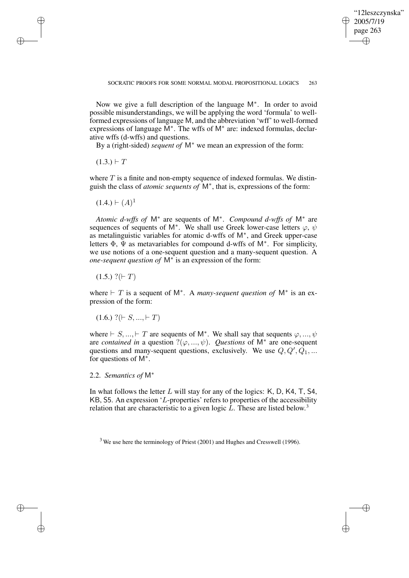✐

Now we give a full description of the language M<sup>∗</sup> . In order to avoid possible misunderstandings, we will be applying the word 'formula' to wellformed expressions of language M, and the abbreviation 'wff' to well-formed expressions of language M<sup>\*</sup>. The wffs of M<sup>\*</sup> are: indexed formulas, declarative wffs (d-wffs) and questions.

By a (right-sided) *sequent of* M<sup>∗</sup> we mean an expression of the form:

 $(1.3.) \vdash T$ 

✐

✐

✐

✐

where  $T$  is a finite and non-empty sequence of indexed formulas. We distinguish the class of *atomic sequents of* M<sup>∗</sup> , that is, expressions of the form:

 $(1.4.) \vdash (A)^1$ 

*Atomic d-wffs of* M<sup>∗</sup> are sequents of M<sup>∗</sup> . *Compound d-wffs of* M<sup>∗</sup> are sequences of sequents of M<sup>\*</sup>. We shall use Greek lower-case letters  $\varphi$ ,  $\psi$ as metalinguistic variables for atomic d-wffs of M<sup>∗</sup> , and Greek upper-case letters Φ, Ψ as metavariables for compound d-wffs of M<sup>∗</sup> . For simplicity, we use notions of a one-sequent question and a many-sequent question. A *one-sequent question of* M<sup>∗</sup> is an expression of the form:

 $(1.5.)$  ?( $\vdash$  T)

where  $\vdash T$  is a sequent of M<sup>\*</sup>. A *many-sequent question of* M<sup>\*</sup> is an expression of the form:

 $(1.6.)$  ?( $\vdash S, ..., \vdash T$ )

where  $\vdash S, ..., \vdash T$  are sequents of M<sup>\*</sup>. We shall say that sequents  $\varphi, ..., \psi$ are *contained* in a question  $?(\varphi, ..., \psi)$ . *Questions* of M<sup>\*</sup> are one-sequent questions and many-sequent questions, exclusively. We use  $Q, Q', Q_1, ...$ for questions of M<sup>∗</sup> .

2.2. *Semantics of* M<sup>∗</sup>

In what follows the letter  $L$  will stay for any of the logics:  $K$ ,  $D$ ,  $K4$ ,  $T$ ,  $S4$ , KB, S5. An expression 'L-properties' refers to properties of the accessibility relation that are characteristic to a given logic  $L$ . These are listed below.<sup>3</sup>

<sup>3</sup> We use here the terminology of Priest (2001) and Hughes and Cresswell (1996).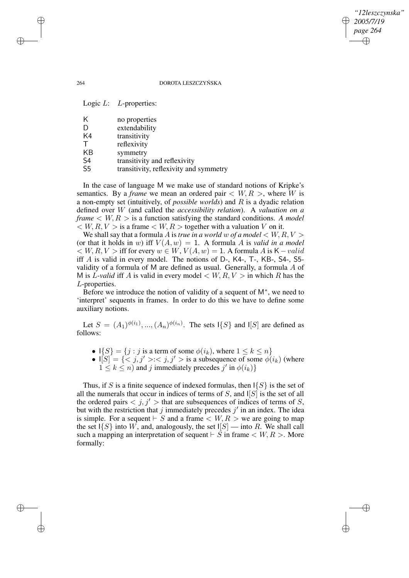# *"12leszczynska" 2005/7/19 page 264* ✐ ✐

✐

✐

#### 264 DOROTA LESZCZYŃSKA

|                | Logic $L$ : $L$ -properties:           |
|----------------|----------------------------------------|
| Κ              | no properties                          |
| D              | extendability                          |
| K4             | transitivity                           |
| Т              | reflexivity                            |
| KB             | symmetry                               |
| S <sub>4</sub> | transitivity and reflexivity           |
| S <sub>5</sub> | transitivity, reflexivity and symmetry |
|                |                                        |

In the case of language M we make use of standard notions of Kripke's semantics. By a *frame* we mean an ordered pair  $\langle W, R \rangle$ , where W is a non-empty set (intuitively, of *possible worlds*) and R is a dyadic relation defined over W (and called the *accessibility relation*). A *valuation on a frame*  $\lt$  *W*, *R*  $>$  is a function satisfying the standard conditions. A model  $\langle W, R, V \rangle$  is a frame  $\langle W, R \rangle$  together with a valuation V on it.

We shall say that a formula A is *true in a world* w *of a model*  $\lt W, R, V >$ (or that it holds in w) iff  $V(A, w) = 1$ . A formula A is *valid in a model*  $\langle W, R, V \rangle$  iff for every  $w \in W$ ,  $V(A, w) = 1$ . A formula A is K – valid iff A is valid in every model. The notions of D-, K4-, T-, KB-, S4-, S5 validity of a formula of M are defined as usual. Generally, a formula A of M is L-valid if A is valid in every model  $\lt W, R, V >$  in which R has the L-properties.

Before we introduce the notion of validity of a sequent of M<sup>∗</sup> , we need to 'interpret' sequents in frames. In order to do this we have to define some auxiliary notions.

Let  $S = (A_1)^{\phi(i_1)}, ..., (A_n)^{\phi(i_n)}$ . The sets  $\{S\}$  and  $\{S\}$  are defined as follows:

- $\mathsf{I}{S} = \{j : j \text{ is a term of some } \phi(i_k), \text{ where } 1 \leq k \leq n\}$
- $I[S] = \{ \leq j, j' > : < j, j' >$  is a subsequence of some  $\phi(i_k)$  (where  $1 \leq k \leq n$ ) and j immediately precedes j' in  $\phi(i_k)$ }

Thus, if S is a finite sequence of indexed formulas, then  $\{S\}$  is the set of all the numerals that occur in indices of terms of  $S$ , and  $\vert S \vert$  is the set of all the ordered pairs  $\langle j, j' \rangle$  that are subsequences of indices of terms of S, but with the restriction that j immediately precedes  $j'$  in an index. The idea is simple. For a sequent  $\vdash S$  and a frame  $\lt W, R >$  we are going to map the set  $\{S\}$  into W, and, analogously, the set  $\lfloor S \rfloor$  — into R. We shall call such a mapping an interpretation of sequent  $\vdash S$  in frame  $\lt W, R >$ . More formally:

✐

✐

✐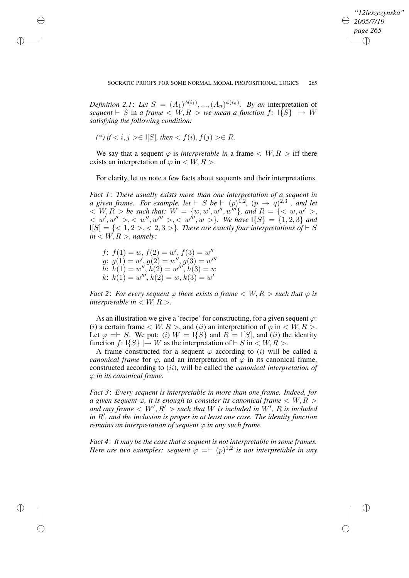✐

*Definition* 2.1: Let  $S = (A_1)^{\phi(i_1)}, ..., (A_n)^{\phi(i_n)}$ . By an interpretation of *sequent*  $\vdash S$  in *a* frame  $\lt W, R > we$  *mean a* function f:  $\vert \{S\} \vert \rightarrow W$ *satisfying the following condition:*

(\*) if 
$$
i, j > \in I[S]
$$
, then  $\in R$ .

✐

✐

✐

✐

We say that a sequent  $\varphi$  is *interpretable in* a frame  $\langle W, R \rangle$  iff there exists an interpretation of  $\varphi$  in  $\lt$  W, R  $>$ .

For clarity, let us note a few facts about sequents and their interpretations.

*Fact 1*: *There usually exists more than one interpretation of a sequent in a* given frame. For example, let  $\vdash S$  be  $\vdash (p)^{1,2}$ ,  $(p \rightarrow q)^{2,3}$  , and let  $W \leq W, R > be$  such that:  $W = \{w, w', w'', w'''\}$ , and  $R = \{w, w' > 0\}$  $\langle w', w'' \rangle, \langle w'', w''' \rangle, \langle w''', w'' \rangle.$  We have  $\{S\} = \{1, 2, 3\}$  and  $I[S] = \{ <1, 2>, <2, 3> \}$ . There are exactly four interpretations of  $\vdash S$  $in < W, R >$ , *namely:* 

 $f: f(1) = w, f(2) = w', f(3) = w''$  $g: g(1) = w', g(2) = w'', g(3) = w'''$  $\check{h}$ :  $\check{h}(1) = w''$ ,  $\check{h}(2) = w'''$ ,  $\check{h}(3) = w$  $k: k(1) = w^{\prime\prime\prime}, k(2) = w, k(3) = w^{\prime}$ 

*Fact* 2: *For every sequent*  $\varphi$  *there exists a frame*  $\langle W, R \rangle$  *such that*  $\varphi$  *is interpretable in*  $\lt$  *W*, *R*  $>$ *.* 

As an illustration we give a 'recipe' for constructing, for a given sequent  $\varphi$ : (i) a certain frame  $\langle W, R \rangle$ , and (ii) an interpretation of  $\varphi$  in  $\langle W, R \rangle$ . Let  $\varphi = S$ . We put: (i)  $W = 1\{S\}$  and  $R = 1\{S\}$ , and (ii) the identity function  $f: \{S\} \rightarrow W$  as the interpretation of  $\vdash S$  in  $\lt W, R >$ .

A frame constructed for a sequent  $\varphi$  according to (i) will be called a *canonical frame* for  $\varphi$ , and an interpretation of  $\varphi$  in its canonical frame, constructed according to (ii), will be called the *canonical interpretation of* ϕ *in its canonical frame*.

*Fact 3*: *Every sequent is interpretable in more than one frame. Indeed, for a* given sequent  $\varphi$ , *it is enough to consider its canonical frame*  $\langle W, R \rangle$ and any frame  $\langle W', R' \rangle$  such that W is included in W', R is included *in*  $R'$ , *and the inclusion is proper in at least one case. The <i>identity function remains an interpretation of sequent*  $\varphi$  *in any such frame.* 

*Fact 4*: *It may be the case that a sequent is not interpretable in some frames. Here are two examples: sequent*  $\varphi = \vdash (p)^{1,2}$  *is not interpretable in any*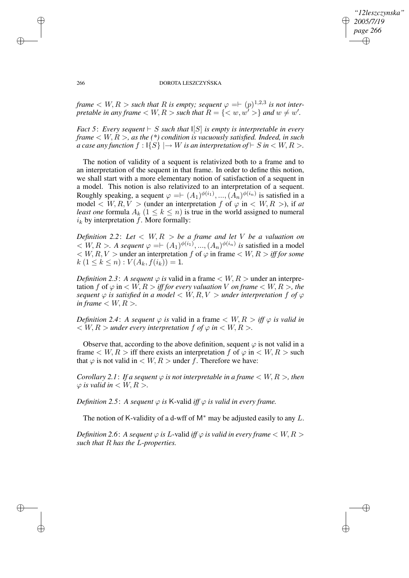*"12leszczynska" 2005/7/19 page 266* ✐ ✐

✐

✐

#### 266 DOROTA LESZCZYŃSKA

*frame*  $\lt W, R >$  *such that* R *is empty; sequent*  $\varphi = \vdash (p)^{1,2,3}$  *is not interpretable in any frame*  $\langle W, R \rangle$  *such that*  $R = \{ \langle w, w' \rangle \}$  *and*  $w \neq w'$ *.* 

*Fact* 5: *Every sequent*  $\vdash$  *S such that*  $\vert [S]$  *is empty is interpretable in every frame* < W, R >*, as the (\*) condition is vacuously satisfied. Indeed, in such a case any function*  $f: \{S\} \rightarrow W$  *is an interpretation of*  $\vdash S$  *in*  $\lt W, R >$ .

The notion of validity of a sequent is relativized both to a frame and to an interpretation of the sequent in that frame. In order to define this notion, we shall start with a more elementary notion of satisfaction of a sequent in a model. This notion is also relativized to an interpretation of a sequent. Roughly speaking, a sequent  $\varphi = \vdash (A_1)^{\phi(i_1)}, ..., (A_n)^{\phi(i_n)}$  is satisfied in a model  $\langle W, R, V \rangle$  (under an interpretation f of  $\varphi$  in  $\langle W, R \rangle$ ), if *at least one* formula  $A_k$  ( $1 \leq k \leq n$ ) is true in the world assigned to numeral  $i_k$  by interpretation  $f$ . More formally:

*Definition* 2.2: Let  $\langle W, R \rangle$  be a frame and let V be a valuation on  $\langle W, R \rangle$ . A sequent  $\varphi = \vdash (A_1)^{\phi(i_1)}, ..., (A_n)^{\phi(i_n)}$  is satisfied in a model  $\langle W, R, V \rangle$  under an interpretation f of  $\varphi$  in frame  $\langle W, R \rangle$  *iff for some*  $k (1 \leq k \leq n) : V(A_k, f(i_k)) = 1.$ 

*Definition* 2.3: A *sequent*  $\varphi$  *is* valid in a frame  $\langle W, R \rangle$  under an interpretation f of  $\varphi$  in  $\lt$  *W*,  $R >$  *iff for every valuation V on frame*  $\lt$  *W*,  $R >$ , *the sequent*  $\varphi$  *is satisfied in a model*  $\langle W, R, V \rangle$  *ander interpretation*  $f$  *of*  $\varphi$ *in frame*  $\langle W, R \rangle$ *.* 

*Definition* 2.4: *A sequent*  $\varphi$  *is* valid in a frame  $\langle W, R \rangle$  *iff*  $\varphi$  *is valid in*  $W, R >$  *under every interpretation f of*  $\varphi$  *in*  $\lt$  *W, R >.* 

Observe that, according to the above definition, sequent  $\varphi$  is not valid in a frame  $\lt W$ ,  $R >$  iff there exists an interpretation f of  $\varphi$  in  $\lt W$ ,  $R >$  such that  $\varphi$  is not valid in  $\langle W, R \rangle$  under f. Therefore we have:

*Corollary* 2.1: If a sequent  $\varphi$  is not interpretable in a frame  $\lt W, R >$ , then  $\varphi$  *is valid in*  $\lt$  *W*, *R*  $>$ *.* 

*Definition* 2.5: *A sequent*  $\varphi$  *is* K-valid *iff*  $\varphi$  *is valid in every frame.* 

The notion of K-validity of a d-wff of  $M^*$  may be adjusted easily to any L.

*Definition* 2.6: *A sequent*  $\varphi$  *is L*-valid *iff*  $\varphi$  *is valid in every frame*  $\langle W, R \rangle$ *such that* R *has the* L*-properties.*

✐

✐

✐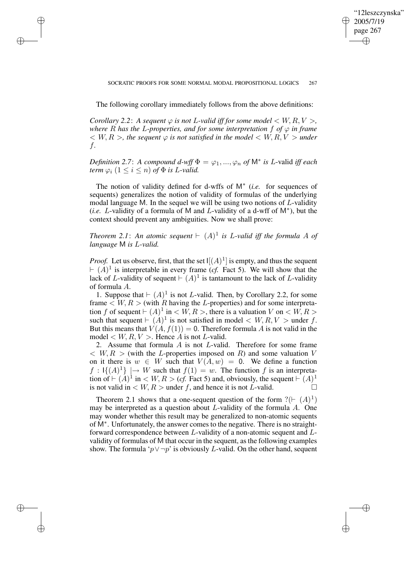✐

## SOCRATIC PROOFS FOR SOME NORMAL MODAL PROPOSITIONAL LOGICS 267

The following corollary immediately follows from the above definitions:

✐

✐

✐

✐

*Corollary* 2.2: *A sequent*  $\varphi$  *is not L*-valid *iff for some model*  $\lt W, R, V >$ , *where* R *has the* L*-properties, and for some interpretation* f *of* ϕ *in frame*  $<$  W, R  $>$ , the sequent  $\varphi$  is not satisfied in the model  $<$  W, R, V  $>$  under f*.*

*Definition* 2.7: *A compound d-wff*  $\Phi = \varphi_1, ..., \varphi_n$  *of*  $\mathsf{M}^*$  *is L-valid iff each term*  $\varphi_i$   $(1 \leq i \leq n)$  *of*  $\Phi$  *is L-valid.* 

The notion of validity defined for d-wffs of M<sup>∗</sup> (*i.e.* for sequences of sequents) generalizes the notion of validity of formulas of the underlying modal language M. In the sequel we will be using two notions of  $L$ -validity (*i.e.* L-validity of a formula of M and L-validity of a d-wff of M<sup>∗</sup> ), but the context should prevent any ambiguities. Now we shall prove:

*Theorem* 2.1: An atomic sequent  $\vdash$   $(A)^{1}$  is L-valid iff the formula A of *language* M *is* L*-valid.*

*Proof.* Let us observe, first, that the set  $\mathcal{I}[(A)^1]$  is empty, and thus the sequent  $\vdash (A)^{1}$  is interpretable in every frame (*cf.* Fact 5). We will show that the lack of L-validity of sequent  $\vdash (A)^{1}$  is tantamount to the lack of L-validity of formula A.

1. Suppose that  $\vdash (A)^1$  is not *L*-valid. Then, by Corollary 2.2, for some frame  $\lt W, R >$  (with R having the L-properties) and for some interpretation f of sequent  $\vdash (A)^1$  in  $\lt W, R >$ , there is a valuation V on  $\lt W, R >$ such that sequent  $\vdash (A)^{1}$  is not satisfied in model  $\lt W, R, V >$  under f. But this means that  $V(A, f(1)) = 0$ . Therefore formula A is not valid in the model  $\langle W, R, V \rangle$ . Hence A is not L-valid.

2. Assume that formula  $A$  is not  $L$ -valid. Therefore for some frame  $\langle W, R \rangle$  (with the L-properties imposed on R) and some valuation V on it there is  $w \in W$  such that  $V(A, w) = 0$ . We define a function  $f: \mathbb{I}\{(A)^1\} \mapsto W$  such that  $f(1) = w$ . The function f is an interpretation of  $\vdash (A)^1$  in  $\lt W, R > (cf.$  Fact 5) and, obviously, the sequent  $\vdash (A)^1$ is not valid in  $\langle W, R \rangle$  under f, and hence it is not *L*-valid.

Theorem 2.1 shows that a one-sequent question of the form  $?(\vdash (A)^1)$ may be interpreted as a question about L-validity of the formula A. One may wonder whether this result may be generalized to non-atomic sequents of M<sup>∗</sup> . Unfortunately, the answer comes to the negative. There is no straightforward correspondence between L-validity of a non-atomic sequent and Lvalidity of formulas of M that occur in the sequent, asthe following examples show. The formula ' $p \lor \neg p$ ' is obviously L-valid. On the other hand, sequent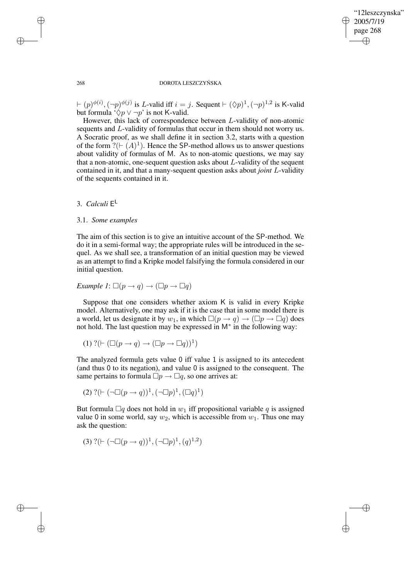✐

## 268 DOROTA LESZCZYŃSKA

 $(a \models (p)^{\phi(i)}, (\neg p)^{\phi(j)}$  is L-valid iff  $i = j$ . Sequent  $\vdash (\Diamond p)^1, (\neg p)^{1,2}$  is K-valid but formula ' $\Diamond p \vee \neg p$ ' is not K-valid.

However, this lack of correspondence between L-validity of non-atomic sequents and L-validity of formulas that occur in them should not worry us. A Socratic proof, as we shall define it in section 3.2, starts with a question of the form  $?(\vdash (A)^1)$ . Hence the SP-method allows us to answer questions about validity of formulas of M. As to non-atomic questions, we may say that a non-atomic, one-sequent question asks about  $L$ -validity of the sequent contained in it, and that a many-sequent question asks about *joint* L-validity of the sequents contained in it.

3. *Calculi* E L

# 3.1. *Some examples*

The aim of this section is to give an intuitive account of the SP-method. We do it in a semi-formal way; the appropriate rules will be introduced in the sequel. As we shall see, a transformation of an initial question may be viewed as an attempt to find a Kripke model falsifying the formula considered in our initial question.

*Example 1*: 
$$
\Box(p \rightarrow q) \rightarrow (\Box p \rightarrow \Box q)
$$

Suppose that one considers whether axiom K is valid in every Kripke model. Alternatively, one may ask if it is the case that in some model there is a world, let us designate it by  $w_1$ , in which  $\Box(p \rightarrow q) \rightarrow (\Box p \rightarrow \Box q)$  does not hold. The last question may be expressed in  $M^*$  in the following way:

$$
(1) ?(\vdash (\Box (p \to q) \to (\Box p \to \Box q))^1)
$$

The analyzed formula gets value 0 iff value 1 is assigned to its antecedent (and thus 0 to its negation), and value 0 is assigned to the consequent. The same pertains to formula  $\Box p \rightarrow \Box q$ , so one arrives at:

(2) 
$$
?(\vdash (\neg \Box (p \rightarrow q))^1, (\neg \Box p)^1, (\Box q)^1)
$$

But formula  $\Box q$  does not hold in  $w_1$  iff propositional variable q is assigned value 0 in some world, say  $w_2$ , which is accessible from  $w_1$ . Thus one may ask the question:

(3) 
$$
?(\vdash (\neg \Box (p \rightarrow q))^{1}, (\neg \Box p)^{1}, (q)^{1,2})
$$

✐

✐

✐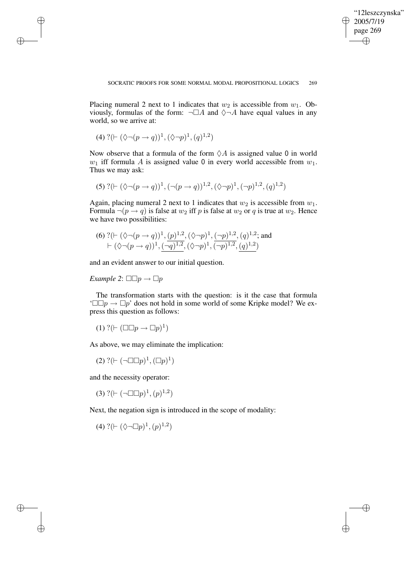$\bigoplus$ 

✐

Placing numeral 2 next to 1 indicates that  $w_2$  is accessible from  $w_1$ . Obviously, formulas of the form:  $\neg \Box A$  and  $\Diamond \neg A$  have equal values in any world, so we arrive at:

(4) ?(` (♦¬(p → q))<sup>1</sup> ,(♦¬p) 1 ,(q) 1,2 )

✐

✐

✐

✐

Now observe that a formula of the form  $\Diamond A$  is assigned value 0 in world  $w_1$  iff formula A is assigned value 0 in every world accessible from  $w_1$ . Thus we may ask:

$$
(5) ?(\vdash (\Diamond \neg (p \rightarrow q))^{1}, (\neg (p \rightarrow q))^{1,2}, (\Diamond \neg p)^{1}, (\neg p)^{1,2}, (q)^{1,2})
$$

Again, placing numeral 2 next to 1 indicates that  $w_2$  is accessible from  $w_1$ . Formula  $\neg(p \rightarrow q)$  is false at  $w_2$  iff p is false at  $w_2$  or q is true at  $w_2$ . Hence we have two possibilities:

(6) 
$$
?\, (\vdash (\Diamond \neg (p \rightarrow q))^{1}, \underline{(p)^{1,2}}, (\Diamond \neg p)^{1}, \underline{(\neg p)^{1,2}}, (q)^{1,2};
$$
 and  $\vdash (\Diamond \neg (p \rightarrow q))^{1}, (\neg q)^{1,2}, (\Diamond \neg p)^{1}, (\neg p)^{1,2}, (q)^{1,2})$ 

and an evident answer to our initial question.

*Example* 2:  $\square \square p \rightarrow \square p$ 

The transformation starts with the question: is it the case that formula  $\Box \Box p \rightarrow \Box p'$  does not hold in some world of some Kripke model? We express this question as follows:

$$
(1) ?(\vdash (\Box \Box p \to \Box p)^1)
$$

As above, we may eliminate the implication:

$$
(2) ?(\vdash(\neg \Box \Box p)^1, (\Box p)^1)
$$

and the necessity operator:

(3) ? $(\vdash (\neg \Box \Box p)^1, (p)^{1,2})$ 

Next, the negation sign is introduced in the scope of modality:

(4) ? $(\vdash (\Diamond \neg \Box p)^1, (p)^{1,2})$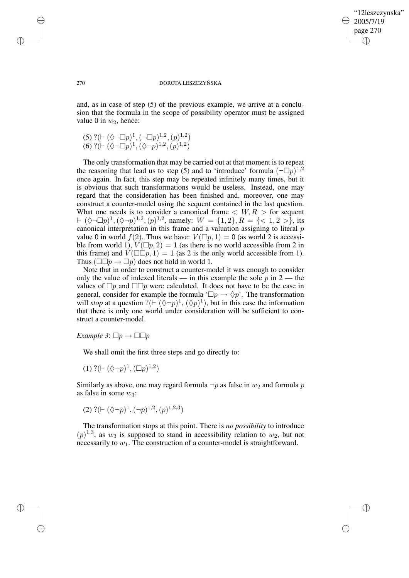✐

#### 270 DOROTA LESZCZYŃSKA

and, as in case of step (5) of the previous example, we arrive at a conclusion that the formula in the scope of possibility operator must be assigned value 0 in  $w_2$ , hence:

(5) ?(
$$
\vdash (\Diamond \neg \Box p)^1
$$
, ( $\neg \Box p)^{1,2}$ , ( $p)^{1,2}$ )  
(6) ?( $\vdash (\Diamond \neg \Box p)^1$ , ( $\Diamond \neg p)^{1,2}$ , ( $p)^{1,2}$ )

The only transformation that may be carried out at that moment is to repeat the reasoning that lead us to step (5) and to 'introduce' formula  $( \neg \Box p)^{1,2}$ once again. In fact, this step may be repeated infinitely many times, but it is obvious that such transformations would be useless. Instead, one may regard that the consideration has been finished and, moreover, one may construct a counter-model using the sequent contained in the last question. What one needs is to consider a canonical frame  $\langle W, R \rangle$  for sequent  $\vdash (\Diamond \neg \Box p)^{1}, (\Diamond \neg p)^{1,2}, (p)^{1,2}, \text{ namely: } W = \{1,2\}, R = \{<1,2>\}, \text{ its }$ canonical interpretation in this frame and a valuation assigning to literal p value 0 in world  $f(2)$ . Thus we have:  $V(\Box p, 1) = 0$  (as world 2 is accessible from world 1),  $V(\Box p, 2) = 1$  (as there is no world accessible from 2 in this frame) and  $V(\Box \Box p, 1) = 1$  (as 2 is the only world accessible from 1). Thus ( $\square \square p \rightarrow \square p$ ) does not hold in world 1.

Note that in order to construct a counter-model it was enough to consider only the value of indexed literals — in this example the sole  $p$  in  $2$  — the values of  $\Box p$  and  $\Box \Box p$  were calculated. It does not have to be the case in general, consider for example the formula ' $\Box p \rightarrow \Diamond p'$ . The transformation will *stop* at a question ?( $\vdash (\Diamond \neg p)^1$ ,  $(\Diamond p)^1$ ), but in this case the information that there is only one world under consideration will be sufficient to construct a counter-model.

*Example*  $3: \Box p \rightarrow \Box \Box p$ 

We shall omit the first three steps and go directly to:

(1) ? $(\vdash (\Diamond \neg p)^1, (\Box p)^{1,2})$ 

Similarly as above, one may regard formula  $\neg p$  as false in  $w_2$  and formula p as false in some  $w_3$ :

(2) 
$$
?(\vdash (\Diamond \neg p)^1, (\neg p)^{1,2}, (p)^{1,2,3})
$$

The transformation stops at this point. There is *no possibility* to introduce  $(p)^{1,3}$ , as  $w_3$  is supposed to stand in accessibility relation to  $w_2$ , but not necessarily to  $w_1$ . The construction of a counter-model is straightforward.

✐

✐

✐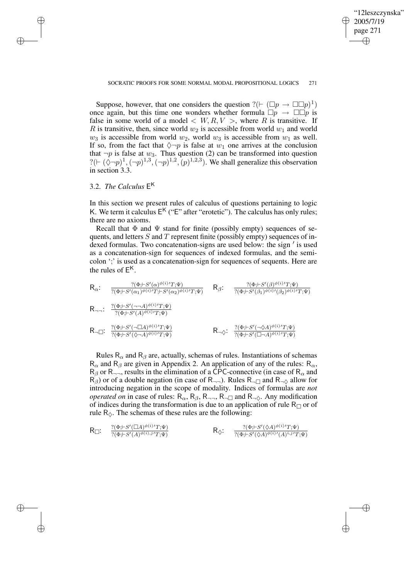✐

#### SOCRATIC PROOFS FOR SOME NORMAL MODAL PROPOSITIONAL LOGICS 271

Suppose, however, that one considers the question  $?(\vdash (\Box p \rightarrow \Box \Box p)^{1})$ once again, but this time one wonders whether formula  $\Box p \rightarrow \Box \Box p$  is false in some world of a model  $\langle W, R, V \rangle$ , where R is transitive. If R is transitive, then, since world  $w_2$  is accessible from world  $w_1$  and world  $w_3$  is accessible from world  $w_2$ , world  $w_3$  is accessible from  $w_1$  as well. If so, from the fact that  $\Diamond \neg p$  is false at  $w_1$  one arrives at the conclusion that  $\neg p$  is false at  $w_3$ . Thus question (2) can be transformed into question ?( $\vdash (\Diamond \neg p)^{1}, (\neg p)^{1,3}, (\neg p)^{1,2}, (p)^{1,2,3}$ ). We shall generalize this observation in section 3.3.

# 3.2. *The Calculus* E K

✐

✐

✐

✐

In this section we present rules of calculus of questions pertaining to logic K. We term it calculus  $E<sup>K</sup>$  ("E" after "erotetic"). The calculus has only rules; there are no axioms.

Recall that  $\Phi$  and  $\Psi$  stand for finite (possibly empty) sequences of sequents, and letters  $S$  and  $T$  represent finite (possibly empty) sequences of in- $\frac{1}{2}$  dexed formulas. Two concatenation-signs are used below: the sign  $\prime$  is used as a concatenation-sign for sequences of indexed formulas, and the semicolon ';' is used as a concatenation-sign for sequences of sequents. Here are the rules of  $E^{\mathsf{K}}$ .

$$
R_{\alpha} \colon \frac{?(\Phi; \vdash S'(\alpha)^{\phi(i)}T; \Psi)}{?(\Phi; \vdash S'(\alpha_1)^{\phi(i)}T; \vdash S'(\alpha_2)^{\phi(i)}T; \Psi)} \quad R_{\beta} \colon \frac{?(\Phi; \vdash S'(\beta)^{\phi(i)}T; \Psi)}{?(\Phi; \vdash S'(\beta_1)^{\phi(i)}T; \Psi)}
$$
\n
$$
R_{\neg \neg} \colon \frac{?(\Phi; \vdash S'(\neg \neg A)^{\phi(i)}T; \Psi)}{?(\Phi; \vdash S'(\neg A)^{\phi(i)}T; \Psi)}
$$
\n
$$
R_{\neg \Box} \colon \frac{?(\Phi; \vdash S'(\neg \Box A)^{\phi(i)}T; \Psi)}{?(\Phi; \vdash S'(\neg \Box A)^{\phi(i)}T; \Psi)} \quad R_{\neg \Diamond} \colon \frac{?(\Phi; \vdash S'(\neg \Diamond A)^{\phi(i)}T; \Psi)}{?(\Phi; \vdash S'(\Box \neg A)^{\phi(i)}T; \Psi)}
$$

Rules  $R_{\alpha}$  and  $R_{\beta}$  are, actually, schemas of rules. Instantiations of schemas  $R_{\alpha}$  and  $R_{\beta}$  are given in Appendix 2. An application of any of the rules:  $R_{\alpha}$ ,  $R_\beta$  or R<sub>¬¬</sub>, results in the elimination of a CPC-connective (in case of R<sub> $\alpha$ </sub> and  $R_{\beta}$ ) or of a double negation (in case of R<sub>¬¬</sub>). Rules R<sub>¬ $\Box$ </sub> and R<sub>¬ $\Diamond$ </sub> allow for introducing negation in the scope of modality. Indices of formulas are *not operated on* in case of rules:  $R_{\alpha}$ ,  $R_{\beta}$ ,  $R_{\neg \neg}$ ,  $R_{\neg \Box}$  and  $R_{\neg \Diamond}$ . Any modification of indices during the transformation is due to an application of rule  $R_{\Box}$  or of rule  $R_{\lozenge}$ . The schemas of these rules are the following:

$$
\mathsf{R}_{\Box}\colon\quad \frac{?(\Phi; \vdash S'(\Box A)^{\phi(i)}T; \Psi)}{?(\Phi; \vdash S'(A)^{\phi(i)}, j'T; \Psi)} \qquad\qquad \mathsf{R}_{\Diamond}\colon\quad \frac{?(\Phi; \vdash S'(\Diamond A)^{\phi(i)}T; \Psi)}{?(\Phi; \vdash S'(\Diamond A)^{\phi(i)}(A)^{i}, j'T; \Psi)}
$$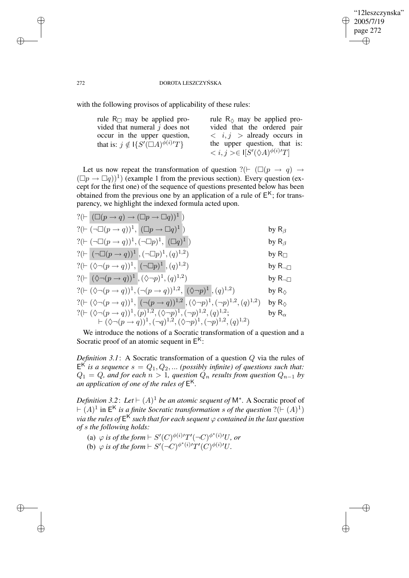✐

## 272 DOROTA LESZCZYŃSKA

with the following provisos of applicability of these rules:

| rule $R_{\Box}$ may be applied pro-              | rule $R_{\lozenge}$ may be applied pro-                        |
|--------------------------------------------------|----------------------------------------------------------------|
| vided that numeral $j$ does not                  | vided that the ordered pair                                    |
| occur in the upper question,                     | $\langle i, j \rangle$ already occurs in                       |
| that is: $j \notin \{S'(\square A)^{\phi(i)}T\}$ | the upper question, that is:                                   |
|                                                  | $\langle i, j \rangle \in \mathcal{S}'(\Diamond A)^{\phi(i)}T$ |

Let us now repeat the transformation of question ?( $\vdash$  ( $\square(p \rightarrow q) \rightarrow$  $(\Box p \rightarrow \Box q))^1$ ) (example 1 from the previous section). Every question (except for the first one) of the sequence of questions presented below has been obtained from the previous one by an application of a rule of  $E<sup>K</sup>$ ; for transparency, we highlight the indexed formula acted upon.

| $?(\vdash (\Box (p \rightarrow q) \rightarrow (\Box p \rightarrow \Box q))^{1})$                                           |                        |
|----------------------------------------------------------------------------------------------------------------------------|------------------------|
| $?(\vdash (\neg \Box (p \rightarrow q))$ <sup>1</sup> , $(\Box p \rightarrow \Box q)^1)$                                   | by $R_\beta$           |
| ?( $\vdash (\neg \Box (p \rightarrow q))^{1}, (\neg \Box p)^{1}, (\Box q)^{1})$                                            | by $R_\beta$           |
| ?( $\vdash (\neg \Box (p \rightarrow q))^1$ , $(\neg \Box p)^1$ , $(q)^{1,2}$ )                                            | by $R_{\Box}$          |
| ?( $\vdash (\Diamond \neg (p \rightarrow q))^{1},  (\neg \Box p)^{1}, (q)^{1,2})$                                          | by $R_{\neg\Box}$      |
| ?( $\vdash (\Diamond \neg (p \rightarrow q))^{1}, (\Diamond \neg p)^{1}, (q)^{1,2})$                                       | by $R_{\neg\Box}$      |
| ?( $\vdash (\Diamond \neg (p \rightarrow q))^{1}, (\neg (p \rightarrow q))^{1,2}, (\Diamond \neg p)^{1}, (q)^{1,2})$       | by $R_{\Diamond}$      |
|                                                                                                                            | by $R_{\Diamond}$      |
| ?( $\vdash (\Diamond \neg (p \rightarrow q))^{1}, \overline{(p)^{1,2}, (\Diamond \neg p)^{1}, (\neg p)^{1,2}}, (q)^{1,2};$ | by $\mathsf{R}_\alpha$ |
| $\vdash (\Diamond \neg (p \rightarrow q))^{1}, (\neg q)^{1,2}, (\Diamond \neg p)^{1}, (\neg p)^{1,2}, (q)^{1,2})$          |                        |

We introduce the notions of a Socratic transformation of a question and a Socratic proof of an atomic sequent in  $E<sup>K</sup>$ :

*Definition 3.1*: A Socratic transformation of a question Q via the rules of  $E^{K}$  *is a sequence*  $s = Q_1, Q_2, ...$  *(possibly infinite)* of questions such that:  $Q_1 = Q$ , and for each  $n > 1$ , question  $Q_n$  results from question  $Q_{n-1}$  by *an application of one of the rules of* E K*.*

*Definition* 3.2: Let  $\vdash (A)^1$  *be an atomic sequent of*  $M^*$ . A Socratic proof of  $\vdash (A)^{1}$  in  $E^{K}$  *is a finite Socratic transformation s of the question* ?( $\vdash (A)^{1}$ ) *via the rules of* E <sup>K</sup> *such that for each sequent* ϕ *contained in the last question of* s *the following holds:*

- (a)  $\varphi$  *is of the form*  $\vdash S'(C)^{\phi(i)/}T'(\neg C)^{\phi^*(i)/}U$ *, or*
- (b)  $\varphi$  *is of the form*  $\vdash S'(\neg C)^{\phi^*(i)/}T'(C)^{\phi(i)/}U$ .

✐

✐

✐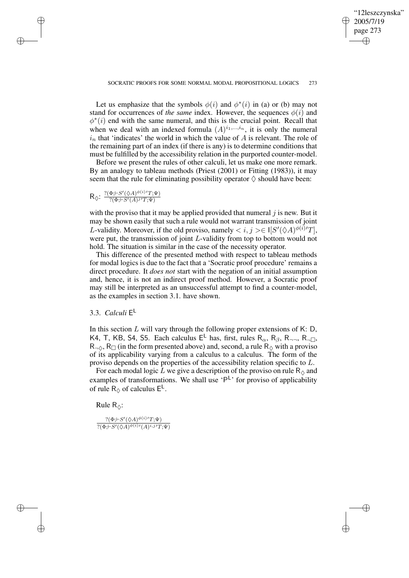✐

### SOCRATIC PROOFS FOR SOME NORMAL MODAL PROPOSITIONAL LOGICS 273

Let us emphasize that the symbols  $\phi(i)$  and  $\phi^*(i)$  in (a) or (b) may not stand for occurrences of *the same* index. However, the sequences  $\phi(i)$  and  $\phi^*(i)$  end with the same numeral, and this is the crucial point. Recall that when we deal with an indexed formula  $(A)^{i_1,\dots,i_n}$ , it is only the numeral  $i_n$  that 'indicates' the world in which the value of A is relevant. The role of the remaining part of an index (if there is any) is to determine conditions that must be fulfilled by the accessibility relation in the purported counter-model.

Before we present the rules of other calculi, let us make one more remark. By an analogy to tableau methods (Priest (2001) or Fitting (1983)), it may seem that the rule for eliminating possibility operator  $\Diamond$  should have been:

 $R_{\diamondsuit}$ :  $\frac{?(\Phi; \vdash S'(\diamondsuit A)^{\phi(i)}T; \Psi)}{?(\Phi \vdash S'(A))^i T \Psi}$  $\overline{?(\Phi; \vdash S'(A)j'T;\Psi)}$ 

✐

✐

✐

✐

with the proviso that it may be applied provided that numeral  $j$  is new. But it may be shown easily that such a rule would not warrant transmission of joint L-validity. Moreover, if the old proviso, namely  $\langle i, j \rangle \in I[S'(\Diamond A)^{\phi(i)}T]$ , were put, the transmission of joint L-validity from top to bottom would not hold. The situation is similar in the case of the necessity operator.

This difference of the presented method with respect to tableau methods for modal logics is due to the fact that a 'Socratic proof procedure' remains a direct procedure. It *does not* start with the negation of an initial assumption and, hence, it is not an indirect proof method. However, a Socratic proof may still be interpreted as an unsuccessful attempt to find a counter-model, as the examples in section 3.1. have shown.

# 3.3. *Calculi* E L

In this section  $L$  will vary through the following proper extensions of K: D, K4, T, KB, S4, S5. Each calculus  $E^L$  has, first, rules  $R_{\alpha}$ ,  $R_{\beta}$ ,  $R_{\gamma}$ ,  $R_{\gamma}$ ,  $R_{\gamma}$  $R_{\neg \Diamond}$ ,  $R_{\Box}$  (in the form presented above) and, second, a rule  $R_{\Diamond}$  with a proviso of its applicability varying from a calculus to a calculus. The form of the proviso depends on the properties of the accessibility relation specific to L.

For each modal logic  $\tilde{L}$  we give a description of the proviso on rule R<sub> $\diamond$ </sub> and examples of transformations. We shall use 'P<sup>L</sup>' for proviso of applicability of rule  $R_{\lozenge}$  of calculus  $E^{\mathsf{L}}$ .

Rule  $R_{\odot}$ :

 $?(\Phi; \vdash S'(\Diamond A)^{\phi(i)}T; \Psi)$  $?(\Phi; \vdash S'(\Diamond A)^{\phi(i)\prime}(A)^{i,j}T;\Psi)$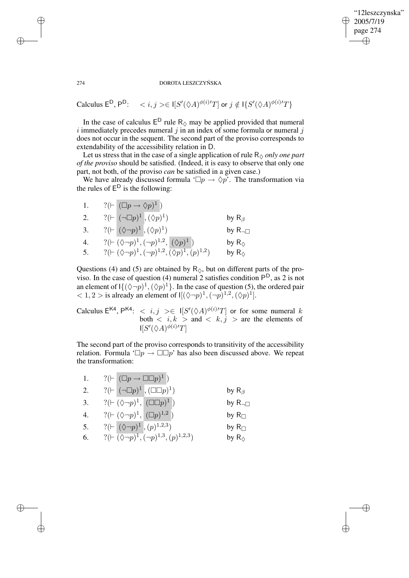# "12leszczynska" 2005/7/19 page 274 ✐ ✐

✐

✐

### 274 DOROTA LESZCZYŃSKA

Calculus  $\mathsf{E}^{\mathsf{D}}, \mathsf{P}^{\mathsf{D}}: \quad < i, j> \in \mathsf{I}[S'(\Diamond A)^{\phi(i)/}T]$  or  $j \notin \mathsf{I}\{S'(\Diamond A)^{\phi(i)/}T\}$ 

In the case of calculus  $E^D$  rule  $R_{\lozenge}$  may be applied provided that numeral i immediately precedes numeral  $j$  in an index of some formula or numeral  $j$ does not occur in the sequent. The second part of the proviso corresponds to extendability of the accessibility relation in D.

Let us stress that in the case of a single application of rule  $R_{\lozenge}$  *only one part of the proviso* should be satisfied. (Indeed, it is easy to observe that only one part, not both, of the proviso *can* be satisfied in a given case.)

We have already discussed formula ' $\Box p \rightarrow \Diamond p$ '. The transformation via the rules of  $E^D$  is the following:

1.  $?(\vdash (\Box p \rightarrow \Diamond p)^1)$ 2.  $?(\vdash(\neg \Box p)^1,(\Diamond p)^1)$ by  $R_\beta$ 3.  $?(\vdash (\Diamond \neg p)^1, (\Diamond p)^1)$  by R<sub> $\neg$ </sub> 4.  $?(\vdash (\Diamond \neg p)^{1}, (\neg p)^{1,2}, (\Diamond p)^{1})$  by R<sub>◇</sub> 5.  $?(\vdash (\Diamond \neg p)^{1}, (\neg p)^{1,2}, \overline{(\Diamond p)^{1}, (p)^{1,2}})$  by R<sub> $\Diamond$ </sub>

Questions (4) and (5) are obtained by  $R_{\Diamond}$ , but on different parts of the proviso. In the case of question (4) numeral 2 satisfies condition  $P^D$ , as 2 is not an element of  $\left[\{\langle \Diamond \neg p \rangle^1, (\Diamond p)^1\right\}$ . In the case of question (5), the ordered pair  $< 1, 2 >$  is already an element of  $\mathbb{I}[(\Diamond \neg p)^1, (\neg p)^{1,2}, (\Diamond p)^1]$ .

Calculus  $E^{K4}$ ,  $P^{K4}$ :  $\langle i, j \rangle \geq |[S'(\Diamond A)^{\phi(i)/T}]$  or for some numeral k both  $\langle i, k \rangle$  and  $\langle k, j \rangle$  are the elements of  $\mathsf{I}[S'(\Diamond A)^{\phi(i)\prime}T]$ 

The second part of the proviso corresponds to transitivity of the accessibility relation. Formula ' $\Box p \rightarrow \Box \Box p$ ' has also been discussed above. We repeat the transformation:

| 1. | $?(\vdash (\Box p \rightarrow \Box \Box p)^1)$                            |                    |
|----|---------------------------------------------------------------------------|--------------------|
| 2. | $?(\vdash \Box p)^1, (\Box \Box p)^1)$                                    | by $R_\beta$       |
| 3. | $?(\vdash (\Diamond \neg p)^1, (\Box \Box p)^1)$                          | by $R_{\neg \Box}$ |
| 4. | ?( $\vdash (\Diamond \neg p)^1, (\Box p)^{1,2})$                          | by $R_{\Box}$      |
| 5. | ? $(F   (\Diamond \neg p)^1, (p)^{1,2,3})$                                | by $R_{\Box}$      |
| 6. | $?(\vdash \overline{(\lozenge \neg p)^{1}, (\neg p)^{1,3}}, (p)^{1,2,3})$ | by $R_{\Diamond}$  |

✐

✐

✐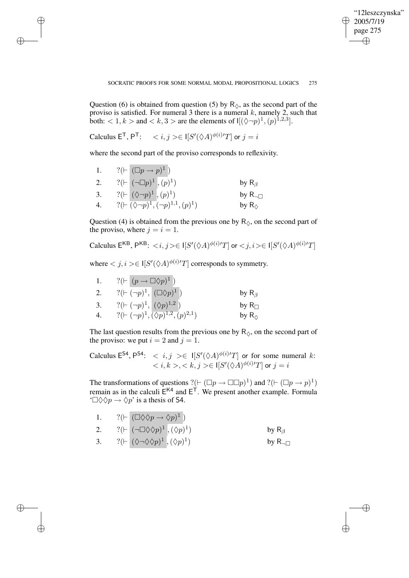✐

### SOCRATIC PROOFS FOR SOME NORMAL MODAL PROPOSITIONAL LOGICS 275

Question (6) is obtained from question (5) by  $R_{\lozenge}$ , as the second part of the proviso is satisfied. For numeral 3 there is a numeral  $k$ , namely 2, such that both:  $\lt 1, k >$  and  $\lt k, 3 >$  are the elements of  $\mathfrak{I}[(\lozenge \neg p)^1, (p)^{1,2,3}]$ .

Calculus  $\mathsf{E}^{\mathsf{T}}, \mathsf{P}^{\mathsf{T}}: \quad < i, j> \in \mathsf{I}[S'(\Diamond A)^{\phi(i)}T]$  or  $j = i$ 

✐

✐

✐

✐

where the second part of the proviso corresponds to reflexivity.

| Ι. | $?(\vdash (\Box p \rightarrow p)^1)$                              |                    |
|----|-------------------------------------------------------------------|--------------------|
| 2. | $?(\vdash  (\neg \Box p)^1, (p)^1)$                               | by $R_\beta$       |
| 3. | $?(\vdash  (\lozenge\neg p)^1, (p)^1)$                            | by $R_{\neg \Box}$ |
| 4. | $?(\vdash \overline{(\lozenge \neg p)^1}, (\neg p)^{1,1}, (p)^1)$ | by $R_{\odot}$     |

Question (4) is obtained from the previous one by  $R_{\lozenge}$ , on the second part of the proviso, where  $j = i = 1$ .

Calculus  $\mathsf{E}^{\mathsf{KB}},\mathsf{P}^{\mathsf{KB}}:\langle i,j \rangle \in \mathsf{I}[S'(\Diamond A)^{\phi(i)\prime}T]$  or  $\langle j,i \rangle \in \mathsf{I}[S'(\Diamond A)^{\phi(i)\prime}T]$ 

where  $\langle j, i \rangle \in \mathsf{I}[S'(\Diamond A)^{\phi(i)/}T]$  corresponds to symmetry.

| -1. | $?(\vdash (p \rightarrow \Box \Diamond p)^{\perp})$   |                       |
|-----|-------------------------------------------------------|-----------------------|
| 2.  | $?(\vdash (\neg p)^1, (\Box \Diamond p)^1)$           | by $R_\beta$          |
| 3.  | $?(\vdash (\neg p)^1, (\Diamond p)^{1,2})$            | by $R_{\Box}$         |
|     | $?(\vdash (\neg p)^1, (\Diamond p)^{1,2}, (p)^{2,1})$ | by $R_{\diamondsuit}$ |

The last question results from the previous one by  $R_{\lozenge}$ , on the second part of the proviso: we put  $i = 2$  and  $j = 1$ .

Calculus  $E^{S4}$ ,  $P^{S4}$ :  $\langle i, j \rangle \in I[S'(\Diamond A)^{\phi(i)'}T]$  or for some numeral k:  $< i,k>, < k,j> \in \mathsf{I}[S'(\Diamond A)^{\phi(i)\prime}T]$  or  $j=i$ 

The transformations of questions ?( $\vdash (\Box p \rightarrow \Box \Box p)^{1}$ ) and ?( $\vdash (\Box p \rightarrow p)^{1}$ ) remain as in the calculi  $E^{K4}$  and  $E^{T}$ . We present another example. Formula  $\Box \Diamond \Diamond p \rightarrow \Diamond p$ ' is a thesis of S4.

1. 
$$
?(\vdash (\Box \Diamond \Diamond p \to \Diamond p)^1)
$$
  
\n2.  $?(\vdash (\neg \Box \Diamond \Diamond p)^1, (\Diamond p)^1)$  by R<sub>β</sub>  
\n3.  $?(\vdash (\Diamond \neg \Diamond \Diamond p)^1, (\Diamond p)^1)$  by R<sub>¬</sub>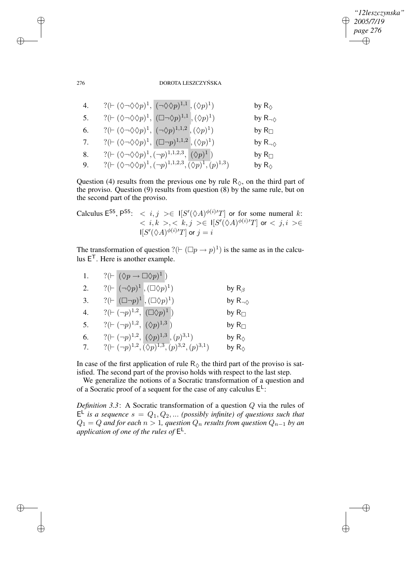# *"12leszczynska" 2005/7/19 page 276* ✐ ✐

✐

✐

# 276 DOROTA LESZCZYŃSKA

4. 
$$
?
$$
( $\vdash (\Diamond \neg \Diamond \Diamond p)^1$ ,  $(\neg \Diamond \Diamond p)^{1,1}$ ,  $(\Diamond p)^1$ ) by R<sub>0</sub>  
\n5.  $?$ ( $\vdash (\Diamond \neg \Diamond \Diamond p)^1$ ,  $(\Box \neg \Diamond p)^{1,1}$ ,  $(\Diamond p)^1$ ) by R<sub>0</sub>  
\n6.  $?$ ( $\vdash (\Diamond \neg \Diamond \Diamond p)^1$ ,  $(\neg \Diamond p)^{1,1,2}$ ,  $(\Diamond p)^1$ ) by R<sub>□</sub>  
\n7.  $?$ ( $\vdash (\Diamond \neg \Diamond \Diamond p)^1$ ,  $(\Box \neg p)^{1,1,2}$ ,  $(\Diamond p)^1$ ) by R<sub>0</sub>  
\n8.  $?$ ( $\vdash (\Diamond \neg \Diamond \Diamond p)^1$ ,  $(\neg p)^{1,1,2,3}$ ,  $(\Diamond p)^1$ ) by R<sub>□</sub>  
\n9. By R<sub>□</sub>

9. 
$$
?(\vdash (\Diamond \neg \Diamond \Diamond p)^1, (\neg p)^{1,1,2,3}, (\Diamond p)^1, (p)^{1,3})
$$
 by  $R_{\Diamond}$ 

Question (4) results from the previous one by rule  $R_{\lozenge}$ , on the third part of the proviso. Question (9) results from question (8) by the same rule, but on the second part of the proviso.

Calculus 
$$
E^{S5}
$$
,  $P^{S5}$ :  $\langle i, j \rangle \in I[S'(\Diamond A)^{\phi(i)/T}]$  or for some numeral  $k$ :  
 $\langle i, k \rangle, \langle k, j \rangle \in I[S'(\Diamond A)^{\phi(i)/T}]$  or  $\langle j, i \rangle \in I[S'(\Diamond A)^{\phi(i)/T}]$  or  $j = i$ 

The transformation of question  $?(\vdash (\Box p \rightarrow p)^{1})$  is the same as in the calculus  $E^T$ . Here is another example.

| 1. | $?(\vdash  (\Diamond p \rightarrow \Box \Diamond p)^1)$                        |                        |
|----|--------------------------------------------------------------------------------|------------------------|
| 2. | $?(\vdash [\neg \Diamond p)^1, (\Box \Diamond p)^1)$                           | by $R_\beta$           |
| 3. | ?( $\vdash$ $(\Box \neg p)^1$ , $(\Box \Diamond p)^1)$                         | by $R_{\neg \Diamond}$ |
| 4. | $?(\vdash (\neg p)^{1,2}, \ (\Box \Diamond p)^{1})$                            | by $R_{\Box}$          |
| 5. | $?(\vdash (\neg p)^{1,2}, \neg(\Diamond p)^{1,3})$                             | by $R_{\Box}$          |
| 6. | $?(\vdash(\neg p)^{1,2}, \overline{(\Diamond p)^{1,3}}, (p)^{3,1})$            | by $R_{\Diamond}$      |
| 7. | $?(\vdash (\neg p)^{1,2}, \overline{(\Diamond p)^{1,3},}(p)^{3,2}, (p)^{3,1})$ | by $R_{\Diamond}$      |

a.

In case of the first application of rule  $R_{\lozenge}$  the third part of the proviso is satisfied. The second part of the proviso holds with respect to the last step.

We generalize the notions of a Socratic transformation of a question and of a Socratic proof of a sequent for the case of any calculus  $E^L$ :

*Definition 3.3*: A Socratic transformation of a question Q via the rules of  $E^{\perp}$  *is a sequence*  $s = Q_1, Q_2, ...$  *(possibly infinite) of questions such that*  $Q_1 = Q$  *and for each*  $n > 1$ , *question*  $Q_n$  *results from question*  $Q_{n-1}$  *by an* application of one of the rules of  $E^{\perp}$ .

✐

✐

✐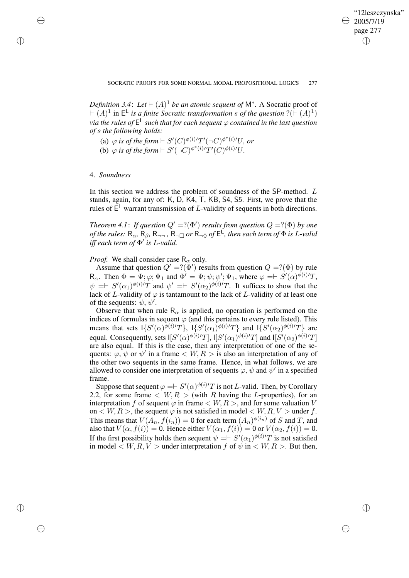✐

*Definition* 3.4: Let  $\vdash (A)^{1}$  *be an atomic sequent of*  $M^{*}$ . A Socratic proof of  $\vdash (A)^{1}$  in  $E^{\mathsf{L}}$  *is a finite Socratic transformation s of the question* ?( $\vdash (A)^{1}$ ) *via the rules of* E L *such that for each sequent* ϕ *contained in the last question of* s *the following holds:*

- (a)  $\varphi$  *is of the form*  $\vdash S'(C)^{\phi(i)/}T'(\neg C)^{\phi^*(i)/}U$ *, or*
- (b)  $\varphi$  *is of the form*  $\vdash S'(\neg C)^{\phi^*(i)/}T'(C)^{\phi(i)/}U$ .

# 4. *Soundness*

✐

✐

✐

✐

In this section we address the problem of soundness of the SP-method. L stands, again, for any of: K, D, K4, T, KB, S4, S5. First, we prove that the rules of  $E^L$  warrant transmission of L-validity of sequents in both directions.

*Theorem* 4.1: *If question*  $Q' = ?(\Phi')$  *results from question*  $Q = ?(\Phi)$  *by one of the rules:*  $R_{\alpha}$ ,  $R_{\beta}$ ,  $R_{\neg \neg}$ ,  $R_{\neg \Box}$  *or*  $R_{\neg \Diamond}$  *of*  $E^{\mathsf{L}}$ *, then each term of*  $\Phi$  *is L-valid iff each term of* Φ 0 *is* L*-valid.*

# *Proof.* We shall consider case  $R_{\alpha}$  only.

Assume that question  $Q' = ?(\Phi')$  results from question  $Q = ?(\Phi)$  by rule R<sub>α</sub>. Then  $\Phi = \Psi; \varphi; \Psi_1$  and  $\Phi' = \Psi; \psi; \psi'; \Psi_1$ , where  $\varphi = \n\vdash S'(\alpha)^{\phi(i)}T$ ,  $\psi = \int S'(\alpha_1)^{\phi(i)}T$  and  $\psi' = \int S'(\alpha_2)^{\phi(i)}T$ . It suffices to show that the lack of L-validity of  $\varphi$  is tantamount to the lack of L-validity of at least one of the sequents:  $\psi$ ,  $\psi'$ .

Observe that when rule  $R_{\alpha}$  is applied, no operation is performed on the indices of formulas in sequent  $\varphi$  (and this pertains to every rule listed). This means that sets  $\{S'(\alpha)^{\phi(i)/}T\}$ ,  $\{S'(\alpha_1)^{\phi(i)/}T\}$  and  $\{S'(\alpha_2)^{\phi(i)/}T\}$  are equal. Consequently, sets  $I[S'(\alpha)^{\phi(i)/}T]$ ,  $I[S'(\alpha_1)^{\phi(i)/}T]$  and  $I[S'(\alpha_2)^{\phi(i)/}T]$ are also equal. If this is the case, then any interpretation of one of the sequents:  $\varphi$ ,  $\psi$  or  $\psi'$  in a frame  $\langle W, R \rangle$  is also an interpretation of any of the other two sequents in the same frame. Hence, in what follows, we are allowed to consider one interpretation of sequents  $\varphi$ ,  $\psi$  and  $\psi'$  in a specified frame.

Suppose that sequent  $\varphi = \models S'(\alpha)^{\phi(i)/T}$  is not *L*-valid. Then, by Corollary 2.2, for some frame  $\langle W, R \rangle$  (with R having the L-properties), for an interpretation f of sequent  $\varphi$  in frame  $\langle W, R \rangle$ , and for some valuation V on  $\lt W, R >$ , the sequent  $\varphi$  is not satisfied in model  $\lt W, R, V >$  under f. This means that  $V(A_n, f(i_n)) = 0$  for each term  $(A_n)^{\phi(i_n)}$  of S and T, and also that  $V(\alpha, f(i)) = 0$ . Hence either  $V(\alpha_1, f(i)) = 0$  or  $V(\alpha_2, f(i)) = 0$ . If the first possibility holds then sequent  $\psi = \int S'(\alpha_1)^{\phi(i)}T$  is not satisfied in model  $\langle W, R, V \rangle$  under interpretation f of  $\psi$  in  $\langle W, R \rangle$ . But then,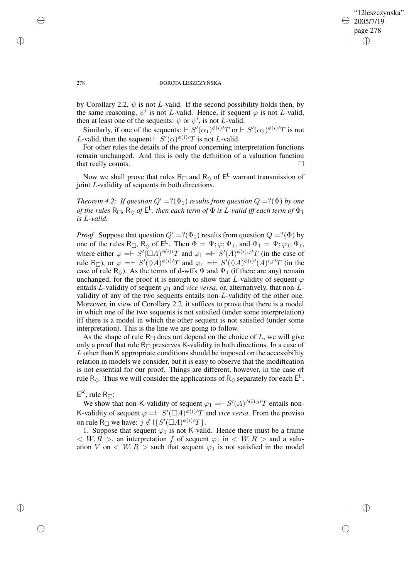✐

## 278 DOROTA LESZCZYŃSKA

by Corollary 2.2,  $\psi$  is not L-valid. If the second possibility holds then, by the same reasoning,  $\psi'$  is not L-valid. Hence, if sequent  $\varphi$  is not L-valid, then at least one of the sequents:  $\psi$  or  $\psi'$ , is not *L*-valid.

Similarly, if one of the sequents:  $\vdash S'(\alpha_1)^{\phi(i)/T}$  or  $\vdash S'(\alpha_2)^{\phi(i)/T}$  is not L-valid, then the sequent  $\vdash S'(\alpha)^{\phi(i)}T$  is not L-valid.

For other rules the details of the proof concerning interpretation functions remain unchanged. And this is only the definition of a valuation function that really counts.

Now we shall prove that rules R<sub> $\Box$ </sub> and R<sub> $\Diamond$ </sub> of E<sup>L</sup> warrant transmission of joint L-validity of sequents in both directions.

*Theorem* 4.2: *If question*  $Q' = ?(\Phi_1)$  *results from question*  $Q = ?(\Phi)$  *by one*  $\sigma$  *of the rules*  $R_{\Box}$ ,  $R_{\Diamond}$  *of*  $E^{\mathsf{L}}$ *, then each term of*  $\Phi$  *is L-valid iff each term of*  $\Phi_{1}$ *is* L*-valid.*

*Proof.* Suppose that question  $Q' = ?(\Phi_1)$  results from question  $Q = ?(\Phi)$  by one of the rules  $R_{\Box}$ ,  $R_{\Diamond}$  of  $E^{\bot}$ . Then  $\Phi = \Psi; \varphi; \Psi_1$ , and  $\Phi_1 = \Psi; \varphi_1; \Psi_1$ , where either  $\varphi = \models S'(\Box A)^{\phi(i)/}T$  and  $\varphi_1 = \models S'(A)^{\phi(i),j'}T$  (in the case of rule R<sub> $\Box$ </sub>), or  $\varphi = \vdash S'(\Diamond A)^{\phi(i)}T$  and  $\varphi_1 = \vdash S'(\Diamond A)^{\phi(i)}(A)^{i,j}T$  (in the case of rule R<sub> $\circ$ </sub>). As the terms of d-wffs  $\Psi$  and  $\Psi_1$  (if there are any) remain unchanged, for the proof it is enough to show that L-validity of sequent  $\varphi$ entails L-validity of sequent  $\varphi_1$  and *vice versa*, or, alternatively, that non-Lvalidity of any of the two sequents entails non-L-validity of the other one. Moreover, in view of Corollary 2.2, it suffices to prove that there is a model in which one of the two sequents is not satisfied (under some interpretation) iff there is a model in which the other sequent is not satisfied (under some interpretation). This is the line we are going to follow.

As the shape of rule  $R_{\Box}$  does not depend on the choice of L, we will give only a proof that rule  $R_{\Box}$  preserves K-validity in both directions. In a case of L other than K appropriate conditions should be imposed on the accessibility relation in models we consider, but it is easy to observe that the modification is not essential for our proof. Things are different, however, in the case of rule R<sub> $\diamond$ </sub>. Thus we will consider the applications of R<sub> $\diamond$ </sub> separately for each  $E^{\perp}$ .

# $E^{K}$ , rule R<sub> $\Box$ </sub>:

We show that non-K-validity of sequent  $\varphi_1 = \models S'(A)^{\phi(i),j'}T$  entails non-K-validity of sequent  $\varphi = \int S'(\Box A)^{\tilde{\phi}(i)/T}$  and *vice versa*. From the proviso on rule R<sub> $\Box$ </sub> we have:  $j \notin \mathcal{H}(S'(\Box A)^{\phi(i)/T}).$ 

1. Suppose that sequent  $\varphi_1$  is not K-valid. Hence there must be a frame  $\langle W, R \rangle$ , an interpretation f of sequent  $\varphi_1$  in  $\langle W, R \rangle$  and a valuation V on  $\langle W, R \rangle$  such that sequent  $\varphi_1$  is not satisfied in the model

✐

✐

✐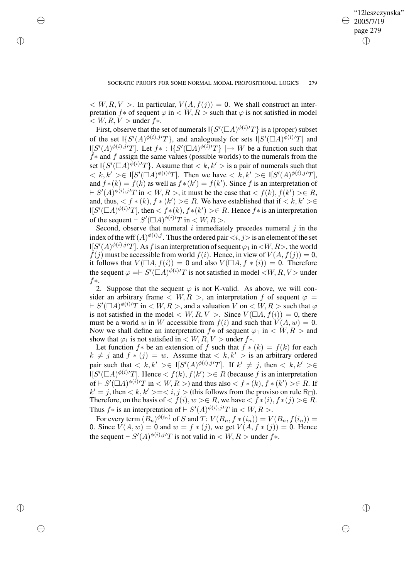✐

 $\langle W, R, V \rangle$ . In particular,  $V(A, f(j)) = 0$ . We shall construct an interpretation f \* of sequent  $\varphi$  in  $\langle W, R \rangle$  such that  $\varphi$  is not satisfied in model  $\langle W, R, V \rangle$  under  $f$ \*.

✐

✐

✐

✐

First, observe that the set of numerals  $\{S'(\Box A)^{\phi(i)}T\}$  is a (proper) subset of the set  $\mathbb{I}\{S'(A)^{\phi(i),j'}T\}$ , and analogously for sets  $\mathbb{I}[S'(\Box A)^{\tilde{\phi}(i)}T]$  and  $\mathbb{E}[S'(A)^{\phi(i),j'}T]$ . Let  $f^*: \mathbb{E}[S'(\Box A)^{\phi(i)}T] \rightarrow W$  be a function such that  $f*$  and f assign the same values (possible worlds) to the numerals from the set  $\{S'(\Box A)^{\phi(i)}T\}$ . Assume that  $\langle k, k'\rangle$  is a pair of numerals such that  $\langle k, k' \rangle \in |[S'(\Box A)^{\phi(i)/T}]$ . Then we have  $\langle k, k' \rangle \in |[S'(A)^{\phi(i),j'}T]$ , and  $f^*(k) = f(k)$  as well as  $f^*(k') = f(k')$ . Since f is an interpretation of  $\vdash S'(A)^{\phi(i),j'}T$  in  $\lt W, R >$ , it must be the case that  $\lt f(k), f(k') > \in R$ , and, thus,  $\langle f * (k), f * (k') \rangle \in R$ . We have established that if  $\langle k, k' \rangle \in$  $\mathbb{I}[S'(\square A)^{\phi(i)}T]$ , then  $\lt f*(k), f*(k') \gt \in R$ . Hence  $f*$  is an interpretation of the sequent  $\vdash S'(\square A)^{\phi(i)}T$  in  $\lt W, R >$ .

Second, observe that numeral  $i$  immediately precedes numeral  $j$  in the index of the wff  $(A)^{\phi(i),j}$ . Thus the ordered pair  $\langle i, j \rangle$  is an element of the set  $\mathbb{E}[S'(A)^{\phi(i),j'}T]$ . As f is an interpretation of sequent  $\varphi_1$  in  $\langle W, R \rangle$ , the world  $f(j)$  must be accessible from world  $f(i)$ . Hence, in view of  $V(A, f(j)) = 0$ , it follows that  $V(\Box A, f(i)) = 0$  and also  $V(\Box A, f * (i)) = 0$ . Therefore the sequent  $\varphi = \int S'(\Box A)^{\phi(i)}T$  is not satisfied in model  $\langle W, R, V \rangle$  under f∗.

2. Suppose that the sequent  $\varphi$  is not K-valid. As above, we will consider an arbitrary frame  $\langle W, R \rangle$ , an interpretation f of sequent  $\varphi =$  $\vdash S'(\Box A)^{\phi(i)}T$  in  $\lt W, R >$ , and a valuation  $V$  on  $\lt W, R >$  such that  $\varphi$ is not satisfied in the model  $\langle W, R, V \rangle$ . Since  $V(\square A, f(i)) = 0$ , there must be a world w in W accessible from  $f(i)$  and such that  $V(A, w) = 0$ . Now we shall define an interpretation  $f*$  of sequent  $\varphi_1$  in  $\langle W, R \rangle$  and show that  $\varphi_1$  is not satisfied in  $\langle W, R, V \rangle$  under  $f$ \*.

Let function  $f*$  be an extension of f such that  $f * (k) = f(k)$  for each  $k \neq j$  and  $f * (j) = w$ . Assume that  $\langle k, k' \rangle$  is an arbitrary ordered pair such that  $\langle k, k' \rangle \in |[S'(A)^{\phi(i), j'}T]$ . If  $k' \neq j$ , then  $\langle k, k' \rangle \in$  $\prod [S'(\Box A)^{\phi(i)}T]$ . Hence  $\lt f(k), f(k') \gt \in R$  (because f is an interpretation of  $\vdash S'(\Box A)^{\phi(i)}T$  in  $\lt W, R >$ ) and thus also  $\lt f * (k), f * (k') > \in R$ . If  $k' = j$ , then  $\lt k, k' \gt \lt \lt i, j \gt$  (this follows from the proviso on rule R<sub> $\Box$ </sub>). Therefore, on the basis of  $\langle f(i), w \rangle \in R$ , we have  $\langle f * (i), f * (j) \rangle \in \overline{R}$ . Thus  $f^*$  is an interpretation of  $\vdash S'(A)^{\phi(i),j'}T$  in  $\lt W, R > 0$ .

For every term  $(B_n)^{\phi(i_n)}$  of S and T:  $V(B_n, f * (i_n)) = V(B_n, f(i_n)) =$ 0. Since  $V(A, w) = 0$  and  $w = f * (j)$ , we get  $V(A, f * (j)) = 0$ . Hence the sequent  $\vdash S'(A)^{\phi(i),j'}T$  is not valid in  $\lt W, R >$  under  $f$ \*.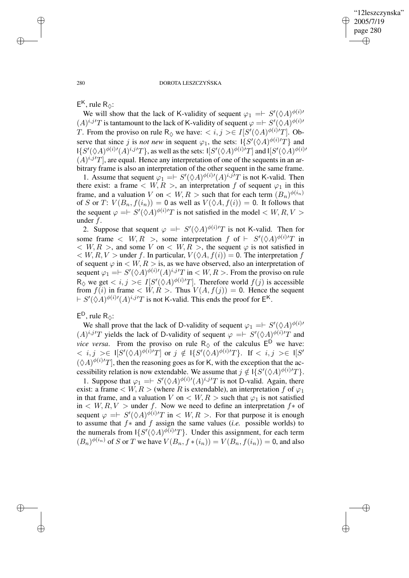✐

### 280 DOROTA LESZCZYŃSKA

 $E^{K}$ , rule R<sub> $\diamond$ </sub>:

We will show that the lack of K-validity of sequent  $\varphi_1 = \models S'(\Diamond A)^{\phi(i)}$  $(A)^{i,j'}T$  is tantamount to the lack of K-validity of sequent  $\varphi = \models S'(\Diamond A)^{\phi(i)}$ T. From the proviso on rule  $R_{\lozenge}$  we have:  $\langle i, j \rangle \in I[S'(\lozenge A)^{\phi(i)}T]$ . Observe that since j is *not new* in sequent  $\varphi_1$ , the sets:  $1\{S'(\Diamond A)^{\phi(i)}T\}$  and  $\mathbb{E}[S'(\Diamond A)^{\phi(i)/}(A)^{i,j'}T]$ , as well as the sets:  $\mathbb{E}[S'(\Diamond A)^{\phi(i)/}T]$  and  $\mathbb{E}[S'(\Diamond A)^{\phi(i)/}T]$  $(A)^{i,j'}T$ , are equal. Hence any interpretation of one of the sequents in an arbitrary frame is also an interpretation of the other sequent in the same frame.

1. Assume that sequent  $\varphi_1 = \models S'(\Diamond A)^{\phi(i)}(A)^{i,j}T$  is not K-valid. Then there exist: a frame  $\lt W, R >$ , an interpretation f of sequent  $\varphi_1$  in this frame, and a valuation V on  $\lt W, R >$  such that for each term  $(B_n)^{\phi(i_n)}$ of S or T:  $V(B_n, f(i_n)) = 0$  as well as  $V(\Diamond A, f(i)) = 0$ . It follows that the sequent  $\varphi = \int S'(\hat{\Diamond A})^{\phi(i)}T$  is not satisfied in the model  $\langle W, R, V \rangle$ under f.

2. Suppose that sequent  $\varphi = \vdash S'(\Diamond A)^{\phi(i)/}T$  is not K-valid. Then for some frame  $\langle W, R \rangle$ , some interpretation f of  $\vdash S'(\Diamond A)^{\phi(i)}T$  in  $\langle W, R \rangle$ , and some V on  $\langle W, R \rangle$ , the sequent  $\varphi$  is not satisfied in  $\langle W, R, V \rangle$  under f. In particular,  $V(\Diamond A, f(i)) = 0$ . The interpretation f of sequent  $\varphi$  in  $\langle W, R \rangle$  is, as we have observed, also an interpretation of sequent  $\varphi_1 = \models S'(\Diamond A)^{\phi(i)/}(A)^{i,j'}T$  in  $\lt W, R >$ . From the proviso on rule  $R_{\Diamond}$  we get  $\langle i, j \rangle \in I[S'(\Diamond A)^{\phi(i)}T]$ . Therefore world  $f(j)$  is accessible from  $f(i)$  in frame  $\langle W, R \rangle$ . Thus  $V(A, f(j)) = 0$ . Hence the sequent  $\vdash S'(\Diamond A)^{\phi(i)}(A)^{i,j'}T$  is not K-valid. This ends the proof for  $\mathsf{E}^{\mathsf{K}}$ .

 $E^D$ , rule  $R_{\diamondsuit}$ :

We shall prove that the lack of D-validity of sequent  $\varphi_1 = \models S'(\Diamond A)^{\phi(i)}$  $(A)^{i,j'}T$  yields the lack of D-validity of sequent  $\varphi = \int S'(\Diamond A)^{\phi(i)}T$  and *vice versa*. From the proviso on rule  $R_{\lozenge}$  of the calculus  $E^{\mathsf{D}}$  we have:  $0< i,j> \in I[S'(\Diamond A)^{\phi(i)}T]$  or  $j \notin I\{S'(\Diamond A)^{\phi(i)}T\}$ . If  $< i,j> \in I[S']$  $(\Diamond A)^{\phi(i)}T$ , then the reasoning goes as for K, with the exception that the accessibility relation is now extendable. We assume that  $j \notin \overline{I}{S'(\Diamond A)^{\phi(i)}T}$ .

1. Suppose that  $\varphi_1 = \models S'(\Diamond A)^{\phi(i)}(A)^{i,j}T$  is not D-valid. Again, there exist: a frame  $\lt W, R \gt$  (where R is extendable), an interpretation f of  $\varphi_1$ in that frame, and a valuation V on  $\lt W, R >$  such that  $\varphi_1$  is not satisfied in  $\langle W, R, V \rangle$  under f. Now we need to define an interpretation f $*$  of sequent  $\varphi = \vDash S'(\Diamond A)^{\phi(i)/}T$  in  $\lt W, R >$ . For that purpose it is enough to assume that f∗ and f assign the same values (*i.e.* possible worlds) to the numerals from  $\{S'(\Diamond A)^{\phi(i)}T\}$ . Under this assignment, for each term  $(B_n)^{\phi(i_n)}$  of S or T we have  $V(B_n, f * (i_n)) = V(B_n, f(i_n)) = 0$ , and also

✐

✐

✐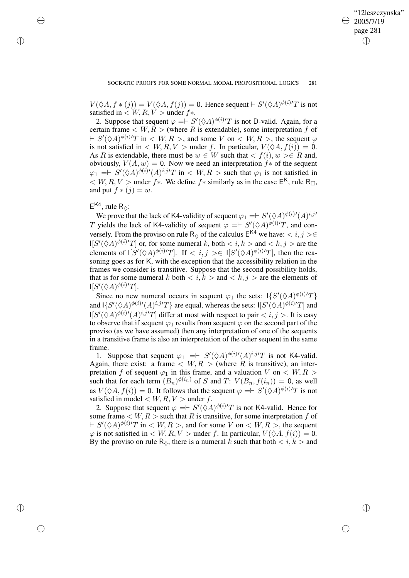✐

 $V(\Diamond A, f * (j)) = V(\Diamond A, f(j)) = 0$ . Hence sequent  $\vdash S'(\Diamond A)^{\phi(i)}T$  is not satisfied in  $\lt W, R, V >$  under  $f$ \*.

2. Suppose that sequent  $\varphi = \int S'(\Diamond A)^{\phi(i)}T$  is not D-valid. Again, for a certain frame  $\langle W, \overline{R} \rangle$  (where R is extendable), some interpretation f of  $\vdash S'(\Diamond A)^{\phi(i)}T$  in  $\lt W, R >$ , and some V on  $\lt W, R >$ , the sequent  $\varphi$ is not satisfied in  $\langle W, R, V \rangle$  under f. In particular,  $V(\Diamond A, f(i)) = 0$ . As R is extendable, there must be  $w \in W$  such that  $\langle f(i), w \rangle \in R$  and, obviously,  $V(A, w) = 0$ . Now we need an interpretation  $f^*$  of the sequent  $\varphi_1 = \int S'(\hat{\vee}A)^{\phi(i)}(A)^{i,j}T$  in  $\langle W, R \rangle$  such that  $\varphi_1$  is not satisfied in  $K < W, R, V >$  under  $f *$ . We define  $f *$  similarly as in the case  $E<sup>K</sup>$ , rule R<sub> $\Box$ </sub>, and put  $f * (j) = w$ .

# $E^{K4}$ , rule R<sub> $\diamond$ </sub>:

✐

✐

✐

✐

We prove that the lack of K4-validity of sequent  $\varphi_1 = \vdash S'(\Diamond A)^{\phi(i)/}(A)^{i,j}$ T yields the lack of K4-validity of sequent  $\varphi = \int S'(\Diamond A)^{\phi(i)/T}$ , and conversely. From the proviso on rule R<sub> $\diamond$ </sub> of the calculus  $E^{K4}$  we have:  $\lt i, j \gt \in$  $\mathbb{E}[S'(\Diamond A)^{\phi(i)}T]$  or, for some numeral k, both  $\langle i, k \rangle$  and  $\langle k, j \rangle$  are the elements of  $\left|\left|S'(\Diamond A)^{\phi(i)}T\right|\right|$ . If  $\langle i, j \rangle \in \left| \left|S'(\Diamond A)^{\phi(i)}T\right|\right|$ , then the reasoning goes as for K, with the exception that the accessibility relation in the frames we consider is transitive. Suppose that the second possibility holds, that is for some numeral k both  $\langle i, k \rangle$  and  $\langle k, j \rangle$  are the elements of  $\mathsf{I}[S'(\Diamond A)^{\phi(i)\prime}T].$ 

Since no new numeral occurs in sequent  $\varphi_1$  the sets:  $\frac{1}{S'(\Diamond A)^{\phi(i)}T}$ and  $\{S'(\Diamond A)^{\phi(i)}(A)^{i,j'}T\}$  are equal, whereas the sets:  $\{S'(\Diamond A)^{\phi(i)}T\}$  and  $\mathbb{I}[S'(\hat{\Diamond} A)^{\phi(i)/}(A)^{i,j'}T]$  differ at most with respect to pair  $$ . It is easy to observe that if sequent  $\varphi_1$  results from sequent  $\varphi$  on the second part of the proviso (as we have assumed) then any interpretation of one of the sequents in a transitive frame is also an interpretation of the other sequent in the same frame.

1. Suppose that sequent  $\varphi_1 = \vdash S'(\Diamond A)^{\phi(i)}(A)^{i,j}T$  is not K4-valid. Again, there exist: a frame  $\langle W, R \rangle$  (where R is transitive), an interpretation f of sequent  $\varphi_1$  in this frame, and a valuation V on  $\langle W, R \rangle$ such that for each term  $(B_n)^{\phi(i_n)}$  of S and T:  $V(B_n, f(i_n)) = 0$ , as well as  $V(\Diamond A, f(i)) = 0$ . It follows that the sequent  $\varphi = \vdash S'(\Diamond A)^{\phi(i)}T$  is not satisfied in model  $\langle W, R, V \rangle$  under f.

2. Suppose that sequent  $\varphi = \vdash S'(\check{\Diamond} A)^{\phi(i)/}T$  is not K4-valid. Hence for some frame  $\lt W, R >$  such that R is transitive, for some interpretation f of  $\vdash S'(\Diamond A)^{\phi(i)}T$  in  $\lt W, R >$ , and for some V on  $\lt W, R >$ , the sequent  $\varphi$  is not satisfied in  $\langle W, R, V \rangle$  under f. In particular,  $V(\Diamond A, f(i)) = 0$ . By the proviso on rule  $\mathsf{R}_{\Diamond}$ , there is a numeral k such that both  $\langle i, k \rangle$  and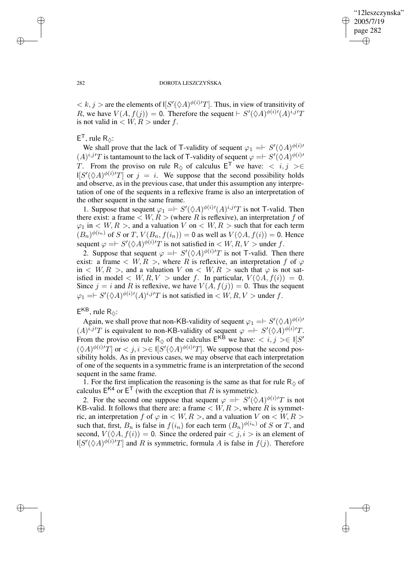✐

## 282 DOROTA LESZCZYŃSKA

 $\langle k, j \rangle$  are the elements of  $\left[ S'(\Diamond A)^{\phi(i)/}T \right]$ . Thus, in view of transitivity of R, we have  $V(A, f(j)) = 0$ . Therefore the sequent  $\vdash S'(\Diamond A)^{\phi(i)}(A)^{i,j}T$ is not valid in  $\langle W, R \rangle$  under f.

# $E^{\mathsf{T}}$ , rule R<sub> $\diamond$ </sub>:

We shall prove that the lack of T-validity of sequent  $\varphi_1 = \models S'(\Diamond A)^{\phi(i)}$  $(A)^{i,j'}T$  is tantamount to the lack of T-validity of sequent  $\varphi = \models S'(\Diamond A)^{\phi(i)}$ T. From the proviso on rule R<sub> $\diamond$ </sub> of calculus  $E^T$  we have:  $\langle i, j \rangle \geq \epsilon$  $\mathbb{E}[S'(\Diamond A)^{\phi(i)/}T]$  or  $j = i$ . We suppose that the second possibility holds and observe, as in the previous case, that under this assumption any interpretation of one of the sequents in a reflexive frame is also an interpretation of the other sequent in the same frame.

1. Suppose that sequent  $\varphi_1 = \models S'(\Diamond A)^{\phi(i)}(A)^{i,j}T$  is not T-valid. Then there exist: a frame  $\langle W, R \rangle$  (where R is reflexive), an interpretation f of  $\varphi_1$  in  $\langle W, R \rangle$ , and a valuation V on  $\langle W, R \rangle$  such that for each term  $(B_n)^{\phi(i_n)}$  of S or T,  $V(B_n, f(i_n)) = 0$  as well as  $V(\Diamond A, f(i)) = 0$ . Hence sequent  $\varphi = \int S'(\Diamond A)^{\phi(i)/}T$  is not satisfied in  $\langle W, R, V \rangle$  under f.

2. Suppose that sequent  $\varphi = \rightarrow S'(\Diamond A)^{\phi(i)/}T$  is not T-valid. Then there exist: a frame  $\langle W, R \rangle$ , where R is reflexive, an interpretation f of  $\varphi$ in  $\langle W, R \rangle$ , and a valuation V on  $\langle W, R \rangle$  such that  $\varphi$  is not satisfied in model  $\langle W, R, V \rangle$  under f. In particular,  $V(\Diamond A, f(i)) = 0$ . Since  $j = i$  and R is reflexive, we have  $V(A, f(j)) = 0$ . Thus the sequent  $\varphi_1 = \vdash S'(\Diamond A)^{\phi(i)/}(A)^{i,j'}T$  is not satisfied in  $\langle W, R, V \rangle$  under f.

# $E^{KB}$ , rule R<sub> $\diamond$ </sub>:

Again, we shall prove that non-KB-validity of sequent  $\varphi_1 = \models S'(\Diamond A)^{\phi(i)}$  $(A)^{i,j'}T$  is equivalent to non-KB-validity of sequent  $\varphi =\n\begin{cases}\n-S'(\Diamond A)^{\phi(i)}T.\n\end{cases}$ From the proviso on rule R<sub> $\diamond$ </sub> of the calculus  $E^{K\hat{B}}$  we have:  $\langle i, j \rangle \in I[S']$  $(\Diamond A)^{\phi(i)}T]$  or  $\lt j, i \gt \in \text{I}[S'(\Diamond A)^{\phi(i)}T]$ . We suppose that the second possibility holds. As in previous cases, we may observe that each interpretation of one of the sequents in a symmetric frame is an interpretation of the second sequent in the same frame.

1. For the first implication the reasoning is the same as that for rule  $R_{\lozenge}$  of calculus  $E^{K4}$  or  $E^{T}$  (with the exception that R is symmetric).

2. For the second one suppose that sequent  $\varphi = \rightarrow S'(\Diamond A)^{\phi(i)}T$  is not KB-valid. It follows that there are: a frame  $\lt W, R >$ , where R is symmetric, an interpretation f of  $\varphi$  in  $\lt W, R >$ , and a valuation V on  $\lt W, R >$ such that, first,  $B_n$  is false in  $f(i_n)$  for each term  $(B_n)^{\phi(i_n)}$  of S or T, and second,  $V(\Diamond A, f(i)) = 0$ . Since the ordered pair  $\langle j, i \rangle$  is an element of  $\mathbb{E}[S'(\Diamond A)^{\phi(i)/}T]$  and R is symmetric, formula A is false in  $f(j)$ . Therefore

✐

✐

✐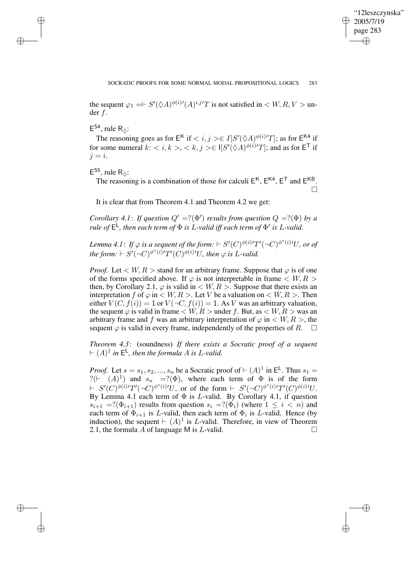✐

the sequent  $\varphi_1 = \vdash S'(\Diamond A)^{\phi(i)/}(A)^{i,j}T$  is not satisfied in  $\langle W, R, V \rangle$  under f.

 $E^{S4}$ , rule R<sub> $\diamond$ </sub>:

✐

✐

✐

✐

The reasoning goes as for  $E^{\mathsf{K}}$  if  $\langle i, j \rangle \in I[S'(\Diamond A)^{\phi(i)/T}]$ ; as for  $E^{\mathsf{K4}}$  if for some numeral  $k: \langle i, k \rangle, \langle k, j \rangle \in I[S'(\Diamond A)^{\phi(i)/}T]$ ; and as for  $\mathsf{E}^{\mathsf{T}}$  if  $j = i$ .

 $E^{S5}$ , rule R<sub> $\diamond$ </sub>:

The reasoning is a combination of those for calculi  $E^{K}$ ,  $E^{K4}$ ,  $E^{T}$  and  $E^{KB}$ . П

It is clear that from Theorem 4.1 and Theorem 4.2 we get:

*Corollary* 4.1: *If question*  $Q' = ?(\Phi')$  *results from question*  $Q = ?(\Phi)$  *by a rule of* E L *, then each term of* Φ *is* L*-valid iff each term of* Φ 0 *is* L*-valid.*

Lemma 4.1: If  $\varphi$  is a sequent of the form:  $\vdash S'(C)^{\phi(i)\prime}T'(\neg C)^{\phi^*(i)\prime}U$ , or of  $\mathit{the form:}\ \vdash S'(\neg C)^{\phi^*(i)}T'(C)^{\phi(i)'}U, \ \mathit{then}\ \varphi\ \mathit{is}\ \mathit{L}\text{-valid}.$ 

*Proof.* Let  $\lt W, R >$  stand for an arbitrary frame. Suppose that  $\varphi$  is of one of the forms specified above. If  $\varphi$  is not interpretable in frame  $\langle W, R \rangle$ then, by Corollary 2.1,  $\varphi$  is valid in  $\langle W, R \rangle$ . Suppose that there exists an interpretation f of  $\varphi$  in  $\lt W, R >$ . Let V be a valuation on  $\lt W, R >$ . Then either  $V(C, f(i)) = 1$  or  $V(\neg C, f(i)) = 1$ . As V was an arbitrary valuation, the sequent  $\varphi$  is valid in frame  $\langle W, R \rangle$  under f. But, as  $\langle W, R \rangle$  was an arbitrary frame and f was an arbitrary interpretation of  $\varphi$  in  $\langle W, R \rangle$ , the sequent  $\varphi$  is valid in every frame, independently of the properties of R.  $\square$ 

*Theorem 4.3*: (soundness) *If there exists a Socratic proof of a sequent*  $\vdash (A)^1$  in  $E^{\mathsf{L}}$ , then the formula A is L-valid.

*Proof.* Let  $s = s_1, s_2, ..., s_n$  be a Socratic proof of  $\vdash (A)^1$  in  $\mathsf{E}^{\mathsf{L}}$ . Thus  $s_1 =$ ?( $\vdash$   $(A)^{1}$ ) and  $s_{n}$  =?( $\Phi$ ), where each term of  $\Phi$  is of the form  $\vdash S'(C)^{\phi(i)/}T'(\neg C)^{\phi^*(i)/}U$ , or of the form  $\vdash S'(\neg C)^{\phi^*(i)/}T'(C)^{\phi(i)/}U$ . By Lemma 4.1 each term of  $\Phi$  is *L*-valid. By Corollary 4.1, if question  $s_{i+1}$  =?( $\Phi_{i+1}$ ) results from question  $s_i$  =?( $\Phi_i$ ) (where  $1 \leq i \leq n$ ) and each term of  $\Phi_{i+1}$  is L-valid, then each term of  $\Phi_i$  is L-valid. Hence (by induction), the sequent  $\vdash (A)^{1}$  is L-valid. Therefore, in view of Theorem 2.1, the formula A of language M is L-valid.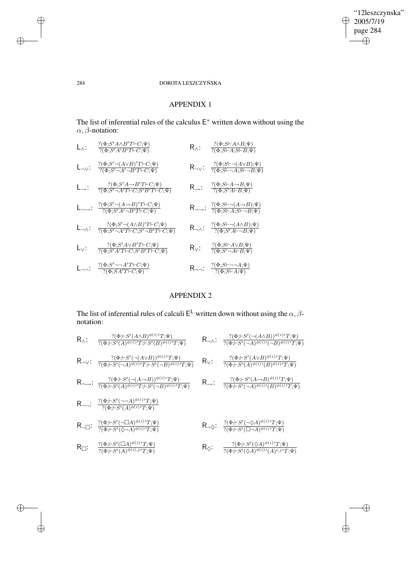$\bigoplus$ 

 $\bigoplus$ 

# 284 DOROTA LESZCZYŃSKA

# APPENDIX 1

The list of inferential rules of the calculus  $E^*$  written down without using the α, β-notation:

| $L_{\wedge}$ :      | $?(\Phi;S'A \wedge B'T \vdash C;\Psi)$<br>$?(\Phi;S'A'B'T\vdash C;\Psi)$                                                              | $R_{\wedge}$ :      | $?(\Phi;S\vdash A\wedge B;\Psi)$<br>$?(\Phi;S\vdash A;S\vdash B;\Psi)$                                             |
|---------------------|---------------------------------------------------------------------------------------------------------------------------------------|---------------------|--------------------------------------------------------------------------------------------------------------------|
| $L_{\neg V}$ :      | $?(\Phi; \! S'\neg(A\!\vee\! B)'T\!\vdash\! C;\! \Psi)$<br>$?(\Phi;S'\neg A'\neg B'T\vdash C;\Psi)$                                   | $R_{\neg \vee}$ :   | $?(\Phi;S\vdash\neg(A\vee B);\Psi)$<br>$\overline{?(\Phi;S\vdash\neg A;S\vdash\neg B;\Psi)}$                       |
| $L\rightarrow$ :    | $?(\Phi;S'A \rightarrow B'T \vdash C;\Psi)$<br>$7(\Phi;S'-A'T\vdash C;S'B'T\vdash C;\Psi)$                                            | $R_{\rightarrow}$ : | $\frac{\gamma(\Phi;S\vdash A\to B;\Psi)}{\gamma(\Phi;S'A\vdash B;\Psi)}$                                           |
|                     | $\mathsf{L}_{\neg \rightarrow} : \ \frac{?(\Phi;S' \neg (A \rightarrow B)' T \vdash C; \Psi)}{?(\Phi;S'A' \neg B' T \vdash C; \Psi)}$ |                     | $R_{\neg \rightarrow}$ : $\frac{?(\Phi;S\vdash \neg(A\rightarrow B);\Psi)}{?(\Phi;S\vdash A;S\vdash \neg B;\Psi)}$ |
| $L_{\neg \wedge}$ : | $?(\Phi;S'\neg(A\wedge B)'T\vdash C;\Psi)$<br>$7(\Phi;S'-A'T\vdash C;S'-B'T\vdash C;\Psi)$                                            |                     | $R_{\neg\wedge}$ : $\frac{?(\Phi;S\vdash\neg(A\wedge B);\Psi)}{?(\Phi;S'A\vdash\neg B;\Psi)}$                      |
| $L_{\vee}$ :        | $?(\Phi;S'A \vee B'T \vdash C;\Psi)$<br>$?(\Phi; S'A'T \vdash C; S'B'T \vdash C; \Psi)$                                               | $R_V$ :             | $?(\Phi;S\vdash A\vee B;\Psi)$<br>$\overline{?(\Phi;S'\neg A\vdash B;\Psi)}$                                       |
| $L_{\neg \neg}$ :   | $?(\Phi;S' \neg\neg A'T \vdash C; \Psi)$<br>$?(\Phi; SA'T \vdash C; \Psi)$                                                            |                     | R <sub>nn</sub> : $\frac{?(\Phi;S\vdash \neg\neg A;\Psi)}{?(\Phi;S\vdash A;\Psi)}$                                 |

# APPENDIX 2

The list of inferential rules of calculi  $E^{\mathsf{L}}$  written down without using the  $\alpha, \beta$ notation:

| $R_{\wedge}$ :  | $?(\Phi; \vdash S'(A \land B)^{\phi(i)}T; \Psi)$<br>$\overline{T(\Phi; \vdash S'(A)^{\phi(i)}T; \vdash S'(B)^{\phi(i)}T; \Psi)}$                          |                         | $R_{\neg\wedge}$ : $\frac{?(\Phi; \vdash S'(\neg(A \wedge B))^{\phi(i)}T; \Psi)}{?(\Phi; \vdash S'(\neg A)^{\phi(i)}'(\neg B)^{\phi(i)}T; \Psi)}$        |
|-----------------|-----------------------------------------------------------------------------------------------------------------------------------------------------------|-------------------------|----------------------------------------------------------------------------------------------------------------------------------------------------------|
|                 | $R_{\neg\vee}$ : $\frac{?(\Phi; \vdash S'(\neg(A \lor B))^{\phi(i)}T; \Psi)}{?(\Phi; \vdash S'(\neg A)^{\phi(i)}T; \vdash S'(\neg B)^{\phi(i)}T; \Psi)}$  | $R_{\vee}$ :            | $\frac{?(\Phi; \vdash S'(A \lor B)^{\phi(i)\prime}T; \Psi)}{?(\Phi; \vdash S'(A)^{\phi(i)\prime}(B)^{\phi(i)\prime}T; \Psi)}$                            |
|                 | $R \rightarrow : \frac{?(\Phi; \vdash S'(\neg(A \rightarrow B))^{\phi(i)}T; \Psi)}{?(\Phi; \vdash S'(A)^{\phi(i)}T; \vdash S'(\neg B)^{\phi(i)}T; \Psi)}$ | $R_{\rightarrow}$ :     | $\frac ?(\Phi ;\vdash S'(A\to B)^{\phi(i)\,\prime}T;\Psi)}{?(\Phi ;\vdash S'(\neg A)^{\phi(i)\,\prime}(B)^{\phi(i)\,\prime}T;\Psi)}$                     |
|                 | R <sub>77</sub> : $\frac{?(\Phi; \vdash S'(\neg\neg A)^{\phi(i)}T; \Psi)}{?(\Phi; \vdash S'(A)^{\phi(i)}T; \Psi)}$                                        |                         |                                                                                                                                                          |
|                 | $R_{\neg\Box}$ : $\frac{?(\Phi; \vdash S'(\neg \Box A)^{\phi(i)}T; \Psi)}{?(\Phi; \vdash S'(\Diamond \neg A)^{\phi(i)}T; \Psi)}$                          |                         | $\mathsf{R}_{\neg\lozenge}\!\!:\ \ \tfrac{?(\Phi;\vdash S'(\neg\lozenge A)^{\phi(i)\prime}T;\Psi)}{?(\Phi;\vdash S'(\Box\neg A)^{\phi(i)\prime}T;\Psi)}$ |
| $R_{\square}$ : | $?(\Phi;\vdash S'(\Box A)^{\phi(i)\prime}T;\Psi)$<br>$\overline{?(\Phi; \vdash S'(A)^{\phi(i), j'}T; \Psi)}$                                              | $\mathsf{R}_\lozenge$ : | $?(\Phi; \vdash S'(\Diamond A)^{\phi(i)}T; \Psi)$<br>$\frac{\gamma(\Phi; \vdash S'(\Diamond A)^{\phi(i)}\prime(A)^{i,j'}T;\Psi)}$                        |

 $\bigoplus$ 

 $\oplus$ 

 $\bigoplus$